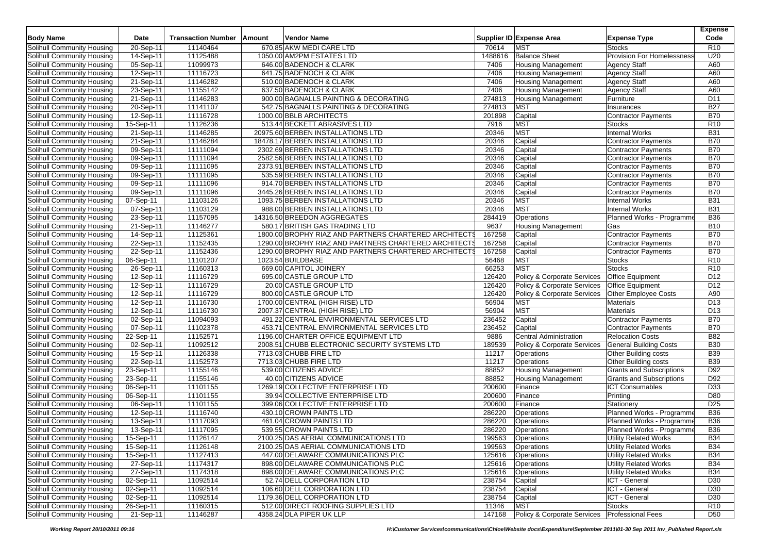|                                   |              |                           |        |                                                       |         |                                               |                                   | <b>Expense</b>  |
|-----------------------------------|--------------|---------------------------|--------|-------------------------------------------------------|---------|-----------------------------------------------|-----------------------------------|-----------------|
| <b>Body Name</b>                  | <b>Date</b>  | <b>Transaction Number</b> | Amount | Vendor Name                                           |         | Supplier ID Expense Area                      | <b>Expense Type</b>               | Code            |
| Solihull Community Housing        | 20-Sep-11    | 11140464                  |        | 670.85 AKW MEDI CARE LTD                              | 70614   | <b>MST</b>                                    | <b>Stocks</b>                     | R <sub>10</sub> |
| Solihull Community Housing        | 14-Sep-11    | 11125488                  |        | 1050.00 AM2PM ESTATES LTD                             | 1488616 | <b>Balance Sheet</b>                          | <b>Provision For Homelessness</b> | U20             |
| Solihull Community Housing        | 05-Sep-11    | 11099973                  |        | 646.00 BADENOCH & CLARK                               | 7406    | <b>Housing Management</b>                     | <b>Agency Staff</b>               | A60             |
| Solihull Community Housing        | 12-Sep-11    | 11116723                  |        | 641.75 BADENOCH & CLARK                               | 7406    | Housing Management                            | <b>Agency Staff</b>               | A60             |
| Solihull Community Housing        | 21-Sep-11    | 11146282                  |        | 510.00 BADENOCH & CLARK                               | 7406    | <b>Housing Management</b>                     | <b>Agency Staff</b>               | A60             |
| Solihull Community Housing        | 23-Sep-11    | 11155142                  |        | 637.50 BADENOCH & CLARK                               | 7406    | <b>Housing Management</b>                     | <b>Agency Staff</b>               | A60             |
| Solihull Community Housing        | 21-Sep-11    | 11146283                  |        | 900.00 BAGNALLS PAINTING & DECORATING                 | 274813  | Housing Management                            | Furniture                         | D11             |
| Solihull Community Housing        | 20-Sep-11    | 11141107                  |        | 542.75 BAGNALLS PAINTING & DECORATING                 | 274813  | <b>MST</b>                                    | Insurances                        | <b>B27</b>      |
| Solihull Community Housing        | 12-Sep-11    | 11116728                  |        | 1000.00 BBLB ARCHITECTS                               | 201898  | Capital                                       | Contractor Payments               | <b>B70</b>      |
| Solihull Community Housing        | $15-$ Sep-11 | 11126236                  |        | 513.44 BECKETT ABRASIVES LTD                          | 7916    | <b>MST</b>                                    | <b>Stocks</b>                     | R <sub>10</sub> |
| Solihull Community Housing        | 21-Sep-11    | 11146285                  |        | 20975.60 BERBEN INSTALLATIONS LTD                     | 20346   | <b>MST</b>                                    | <b>Internal Works</b>             | <b>B31</b>      |
| Solihull Community Housing        | 21-Sep-11    | 11146284                  |        | 18478.17 BERBEN INSTALLATIONS LTD                     | 20346   | Capital                                       | <b>Contractor Payments</b>        | <b>B70</b>      |
| Solihull Community Housing        | 09-Sep-11    | 11111094                  |        | 2302.69 BERBEN INSTALLATIONS LTD                      | 20346   | Capital                                       | <b>Contractor Payments</b>        | <b>B70</b>      |
| Solihull Community Housing        | 09-Sep-11    | 11111094                  |        | 2582.56 BERBEN INSTALLATIONS LTD                      | 20346   | Capital                                       | <b>Contractor Payments</b>        | <b>B70</b>      |
| Solihull Community Housing        | 09-Sep-11    | 11111095                  |        | 2373.91 BERBEN INSTALLATIONS LTD                      | 20346   | Capital                                       | <b>Contractor Payments</b>        | <b>B70</b>      |
| Solihull Community Housing        | 09-Sep-11    | 11111095                  |        | 535.59 BERBEN INSTALLATIONS LTD                       | 20346   | Capital                                       | <b>Contractor Payments</b>        | <b>B70</b>      |
| Solihull Community Housing        | 09-Sep-11    | 11111096                  |        | 914.70 BERBEN INSTALLATIONS LTD                       | 20346   | Capital                                       | <b>Contractor Payments</b>        | <b>B70</b>      |
| Solihull Community Housing        | 09-Sep-11    | 11111096                  |        | 3445.26 BERBEN INSTALLATIONS LTD                      | 20346   | Capital                                       | <b>Contractor Payments</b>        | <b>B70</b>      |
| Solihull Community Housing        | 07-Sep-11    | 11103126                  |        | 1093.75 BERBEN INSTALLATIONS LTD                      | 20346   | <b>MST</b>                                    | <b>Internal Works</b>             | <b>B31</b>      |
| Solihull Community Housing        | 07-Sep-11    | 11103129                  |        | 988.00 BERBEN INSTALLATIONS LTD                       | 20346   | <b>MST</b>                                    | <b>Internal Works</b>             | <b>B31</b>      |
| Solihull Community Housing        | 23-Sep-11    | 11157095                  |        | 14316.50 BREEDON AGGREGATES                           | 284419  | Operations                                    | Planned Works - Programme         | <b>B36</b>      |
| Solihull Community Housing        | 21-Sep-11    | 11146277                  |        | 580.17 BRITISH GAS TRADING LTD                        | 9637    | Housing Management                            | Gas                               | <b>B10</b>      |
| Solihull Community Housing        | 14-Sep-11    | 11125361                  |        | 1800.00 BROPHY RIAZ AND PARTNERS CHARTERED ARCHITECTS | 167258  | Capital                                       | <b>Contractor Payments</b>        | <b>B70</b>      |
| Solihull Community Housing        | 22-Sep-11    | 11152435                  |        | 1290.00 BROPHY RIAZ AND PARTNERS CHARTERED ARCHITECTS | 167258  | Capital                                       | Contractor Payments               | <b>B70</b>      |
| Solihull Community Housing        | 22-Sep-11    | 11152436                  |        | 1290.00 BROPHY RIAZ AND PARTNERS CHARTERED ARCHITECTS | 167258  | Capital                                       | <b>Contractor Payments</b>        | <b>B70</b>      |
| <b>Solihull Community Housing</b> | 06-Sep-11    | 11101207                  |        | 1023.54 BUILDBASE                                     | 56468   | <b>MST</b>                                    | <b>Stocks</b>                     | R <sub>10</sub> |
| Solihull Community Housing        | 26-Sep-11    | 11160313                  |        | 669.00 CAPITOL JOINERY                                | 66253   | <b>MST</b>                                    | <b>Stocks</b>                     | R <sub>10</sub> |
| Solihull Community Housing        | 12-Sep-11    | 11116729                  |        | 695.00 CASTLE GROUP LTD                               | 126420  | <b>Policy &amp; Corporate Services</b>        | <b>Office Equipment</b>           | D12             |
| Solihull Community Housing        | 12-Sep-11    | 11116729                  |        | 20.00 CASTLE GROUP LTD                                | 126420  | <b>Policy &amp; Corporate Services</b>        | <b>Office Equipment</b>           | D12             |
| Solihull Community Housing        | 12-Sep-11    | 11116729                  |        | 800.00 CASTLE GROUP LTD                               | 126420  | Policy & Corporate Services                   | <b>Other Employee Costs</b>       | A90             |
| Solihull Community Housing        | 12-Sep-11    | 11116730                  |        | 1700.00 CENTRAL (HIGH RISE) LTD                       | 56904   | <b>MST</b>                                    | <b>Materials</b>                  | D <sub>13</sub> |
| Solihull Community Housing        | 12-Sep-11    | 11116730                  |        | 2007.37 CENTRAL (HIGH RISE) LTD                       | 56904   | <b>MST</b>                                    | <b>Materials</b>                  | D <sub>13</sub> |
| Solihull Community Housing        | 02-Sep-11    | 11094093                  |        | 491.22 CENTRAL ENVIRONMENTAL SERVICES LTD             | 236452  | Capital                                       | <b>Contractor Payments</b>        | <b>B70</b>      |
| Solihull Community Housing        | 07-Sep-11    | 11102378                  |        | 453.71 CENTRAL ENVIRONMENTAL SERVICES LTD             | 236452  | Capital                                       | <b>Contractor Payments</b>        | <b>B70</b>      |
| Solihull Community Housing        | 22-Sep-11    | 11152571                  |        | 1196.00 CHARTER OFFICE EQUIPMENT LTD                  | 9886    | <b>Central Administration</b>                 | <b>Relocation Costs</b>           | <b>B82</b>      |
| Solihull Community Housing        | 02-Sep-11    | 11092512                  |        | 2008.51 CHUBB ELECTRONIC SECURITY SYSTEMS LTD         | 189539  | Policy & Corporate Services                   | <b>General Building Costs</b>     | <b>B30</b>      |
| Solihull Community Housing        | 15-Sep-11    | 11126338                  |        | 7713.03 CHUBB FIRE LTD                                | 11217   | Operations                                    | <b>Other Building costs</b>       | <b>B39</b>      |
| Solihull Community Housing        | 22-Sep-11    | 11152573                  |        | 7713.03 CHUBB FIRE LTD                                | 11217   | Operations                                    | Other Building costs              | <b>B39</b>      |
| Solihull Community Housing        | 23-Sep-11    | 11155146                  |        | 539.00 CITIZENS ADVICE                                | 88852   | <b>Housing Management</b>                     | <b>Grants and Subscriptions</b>   | D92             |
| <b>Solihull Community Housing</b> | 23-Sep-11    | 11155146                  |        | 40.00 CITIZENS ADVICE                                 | 88852   | <b>Housing Management</b>                     | <b>Grants and Subscriptions</b>   | D92             |
| Solihull Community Housing        | 06-Sep-11    | 11101155                  |        | 1269.19 COLLECTIVE ENTERPRISE LTD                     | 200600  | Finance                                       | <b>ICT Consumables</b>            | D <sub>33</sub> |
| Solihull Community Housing        | 06-Sep-11    | 11101155                  |        | 39.94 COLLECTIVE ENTERPRISE LTD                       | 200600  | Finance                                       | Printing                          | D80             |
| Solihull Community Housing        | 06-Sep-11    | 11101155                  |        | 399.06 COLLECTIVE ENTERPRISE LTD                      | 200600  | Finance                                       | Stationery                        | D25             |
| Solihull Community Housing        | 12-Sep-11    | 11116740                  |        | 430.10 CROWN PAINTS LTD                               | 286220  | Operations                                    | Planned Works - Programme         | <b>B36</b>      |
| Solihull Community Housing        | 13-Sep-11    | 11117093                  |        | 461.04 CROWN PAINTS LTD                               | 286220  | Operations                                    | Planned Works - Programme         | <b>B36</b>      |
| Solihull Community Housing        | 13-Sep-11    | 11117095                  |        | 539.55 CROWN PAINTS LTD                               | 286220  | Operations                                    | Planned Works - Programme         | <b>B36</b>      |
| Solihull Community Housing        | 15-Sep-11    | 11126147                  |        | 2100.25 DAS AERIAL COMMUNICATIONS LTD                 | 199563  | Operations                                    | <b>Utility Related Works</b>      | <b>B34</b>      |
| Solihull Community Housing        | 15-Sep-11    | 11126148                  |        | 2100.25 DAS AERIAL COMMUNICATIONS LTD                 | 199563  | Operations                                    | <b>Utility Related Works</b>      | <b>B34</b>      |
| Solihull Community Housing        | 15-Sep-11    | 11127413                  |        | 447.00 DELAWARE COMMUNICATIONS PLC                    | 125616  | Operations                                    | Utility Related Works             | <b>B34</b>      |
| Solihull Community Housing        | 27-Sep-11    | 11174317                  |        | 898.00 DELAWARE COMMUNICATIONS PLC                    | 125616  | Operations                                    | <b>Utility Related Works</b>      | <b>B34</b>      |
| Solihull Community Housing        | 27-Sep-11    | 11174318                  |        | 898.00 DELAWARE COMMUNICATIONS PLC                    | 125616  | Operations                                    | <b>Utility Related Works</b>      | <b>B34</b>      |
| Solihull Community Housing        | 02-Sep-11    | 11092514                  |        | 52.74 DELL CORPORATION LTD                            | 238754  | Capital                                       | ICT - General                     | D30             |
| Solihull Community Housing        | 02-Sep-11    | 11092514                  |        | 106.60 DELL CORPORATION LTD                           | 238754  | Capital                                       | ICT - General                     | D <sub>30</sub> |
| Solihull Community Housing        | 02-Sep-11    | 11092514                  |        | 1179.36 DELL CORPORATION LTD                          | 238754  | Capital                                       | ICT - General                     | D <sub>30</sub> |
| Solihull Community Housing        | 26-Sep-11    | 11160315                  |        | 512.00 DIRECT ROOFING SUPPLIES LTD                    | 11346   | <b>MST</b>                                    | Stocks                            | R <sub>10</sub> |
| Solihull Community Housing        | $21-Sep-11$  | 11146287                  |        | 4358.24 DLA PIPER UK LLP                              | 147168  | Policy & Corporate Services Professional Fees |                                   | D <sub>50</sub> |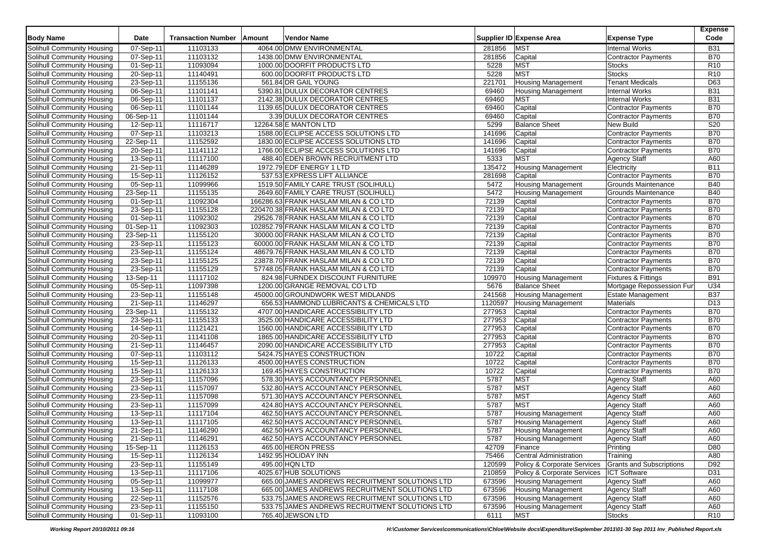|                                   |                         |                           |        |                                                |         |                               |                                 | Expense         |
|-----------------------------------|-------------------------|---------------------------|--------|------------------------------------------------|---------|-------------------------------|---------------------------------|-----------------|
| <b>Body Name</b>                  | Date                    | <b>Transaction Number</b> | Amount | Vendor Name                                    |         | Supplier ID Expense Area      | <b>Expense Type</b>             | Code            |
| Solihull Community Housing        | 07-Sep-11               | 11103133                  |        | 4064.00 DMW ENVIRONMENTAL                      | 281856  | <b>MST</b>                    | <b>Internal Works</b>           | <b>B31</b>      |
| Solihull Community Housing        | 07-Sep-11               | 11103132                  |        | 1438.00 DMW ENVIRONMENTAL                      | 281856  | Capital                       | Contractor Payments             | <b>B70</b>      |
| Solihull Community Housing        | 01-Sep-11               | 11093094                  |        | 1000.00 DOORFIT PRODUCTS LTD                   | 5228    | <b>MST</b>                    | <b>Stocks</b>                   | R10             |
| Solihull Community Housing        | 20-Sep-11               | 11140491                  |        | 600.00 DOORFIT PRODUCTS LTD                    | 5228    | <b>MST</b>                    | <b>Stocks</b>                   | R <sub>10</sub> |
| Solihull Community Housing        | 23-Sep-11               | 11155136                  |        | 561.84 DR GAIL YOUNG                           | 221701  | <b>Housing Management</b>     | <b>Tenant Medicals</b>          | D63             |
| Solihull Community Housing        | 06-Sep-11               | 11101141                  |        | 5390.81 DULUX DECORATOR CENTRES                | 69460   | <b>Housing Management</b>     | <b>Internal Works</b>           | <b>B31</b>      |
| Solihull Community Housing        | 06-Sep-11               | 11101137                  |        | 2142.38 DULUX DECORATOR CENTRES                | 69460   | MST                           | <b>Internal Works</b>           | <b>B31</b>      |
| Solihull Community Housing        | 06-Sep-11               | 11101144                  |        | 1139.65 DULUX DECORATOR CENTRES                | 69460   | Capital                       | <b>Contractor Payments</b>      | <b>B70</b>      |
| <b>Solihull Community Housing</b> | 06-Sep-11               | 11101144                  |        | 3.39 DULUX DECORATOR CENTRES                   | 69460   | Capital                       | <b>Contractor Payments</b>      | <b>B70</b>      |
| Solihull Community Housing        | 12-Sep-11               | 11116717                  |        | 12264.58 E MANTON LTD                          | 5299    | <b>Balance Sheet</b>          | <b>New Build</b>                | S20             |
| Solihull Community Housing        | 07-Sep-11               | 11103213                  |        | 1588.00 ECLIPSE ACCESS SOLUTIONS LTD           | 141696  | Capital                       | Contractor Payments             | <b>B70</b>      |
| Solihull Community Housing        | 22-Sep-11               | 11152592                  |        | 1830.00 ECLIPSE ACCESS SOLUTIONS LTD           | 141696  | Capital                       | <b>Contractor Payments</b>      | <b>B70</b>      |
| Solihull Community Housing        | 20-Sep-11               | 11141112                  |        | 1766.00 ECLIPSE ACCESS SOLUTIONS LTD           | 141696  | Capital                       | <b>Contractor Payments</b>      | <b>B70</b>      |
| Solihull Community Housing        | 13-Sep-11               | 11117100                  |        | 488.40 EDEN BROWN RECRUITMENT LTD              | 5333    | <b>MST</b>                    | <b>Agency Staff</b>             | A60             |
| Solihull Community Housing        | 21-Sep-11               | 11146289                  |        | 1972.79 EDF ENERGY 1 LTD                       | 135472  | <b>Housing Management</b>     | Electricity                     | <b>B11</b>      |
| Solihull Community Housing        | 15-Sep-11               | 11126152                  |        | 537.53 EXPRESS LIFT ALLIANCE                   | 281698  | Capital                       | <b>Contractor Payments</b>      | <b>B70</b>      |
| Solihull Community Housing        | 05-Sep-11               | 11099966                  |        | 1519.50 FAMILY CARE TRUST (SOLIHULL)           | 5472    | <b>Housing Management</b>     | <b>Grounds Maintenance</b>      | <b>B40</b>      |
| Solihull Community Housing        | 23-Sep-11               | 11155135                  |        | 2649.60 FAMILY CARE TRUST (SOLIHULL)           | 5472    | <b>Housing Management</b>     | <b>Grounds Maintenance</b>      | <b>B40</b>      |
| Solihull Community Housing        | 01-Sep-11               | 11092304                  |        | 166286.63 FRANK HASLAM MILAN & CO LTD          | 72139   | Capital                       | <b>Contractor Payments</b>      | <b>B70</b>      |
| <b>Solihull Community Housing</b> | 23-Sep-11               | 11155128                  |        | 220470.38 FRANK HASLAM MILAN & CO LTD          | 72139   | Capital                       | <b>Contractor Payments</b>      | <b>B70</b>      |
| Solihull Community Housing        | 01-Sep-11               | 11092302                  |        | 29526.78 FRANK HASLAM MILAN & CO LTD           | 72139   | Capital                       | <b>Contractor Payments</b>      | <b>B70</b>      |
| Solihull Community Housing        | 01-Sep-11               | 11092303                  |        | 102852.79 FRANK HASLAM MILAN & CO LTD          | 72139   | Capital                       | <b>Contractor Payments</b>      | <b>B70</b>      |
| Solihull Community Housing        | 23-Sep-11               | 11155120                  |        | 30000.00 FRANK HASLAM MILAN & CO LTD           | 72139   | Capital                       | <b>Contractor Payments</b>      | <b>B70</b>      |
| Solihull Community Housing        | 23-Sep-11               | 11155123                  |        | 60000.00 FRANK HASLAM MILAN & CO LTD           | 72139   | Capital                       | <b>Contractor Payments</b>      | <b>B70</b>      |
| Solihull Community Housing        | 23-Sep-11               | 11155124                  |        | 48679.76 FRANK HASLAM MILAN & CO LTD           | 72139   | Capital                       | <b>Contractor Payments</b>      | <b>B70</b>      |
| Solihull Community Housing        | 23-Sep-11               | 11155125                  |        | 23878.70 FRANK HASLAM MILAN & CO LTD           | 72139   | Capital                       | <b>Contractor Payments</b>      | <b>B70</b>      |
| Solihull Community Housing        | 23-Sep-11               | 11155129                  |        | 57748.05 FRANK HASLAM MILAN & CO LTD           | 72139   | Capital                       | <b>Contractor Payments</b>      | <b>B70</b>      |
| <b>Solihull Community Housing</b> | 13-Sep-11               | 11117102                  |        | 824.98 FURNDEX DISCOUNT FURNITURE              | 109970  | <b>Housing Management</b>     | <b>Fixtures &amp; Fittings</b>  | <b>B91</b>      |
| Solihull Community Housing        | $05-Sep-11$             | 11097398                  |        | 1200.00 GRANGE REMOVAL CO LTD                  | 5676    | <b>Balance Sheet</b>          | Mortgage Repossession Fun       | U34             |
| Solihull Community Housing        | 23-Sep-11               | 11155148                  |        | 45000.00 GROUNDWORK WEST MIDLANDS              | 241568  | <b>Housing Management</b>     | <b>Estate Management</b>        | <b>B37</b>      |
| Solihull Community Housing        | 21-Sep-11               | 11146297                  |        | 656.53 HAMMOND LUBRICANTS & CHEMICALS LTD      | 1120597 | <b>Housing Management</b>     | <b>Materials</b>                | D <sub>13</sub> |
| Solihull Community Housing        | 23-Sep-11               | 11155132                  |        | 4707.00 HANDICARE ACCESSIBILITY LTD            | 277953  | Capital                       | <b>Contractor Payments</b>      | <b>B70</b>      |
| Solihull Community Housing        | 23-Sep-11               | 11155133                  |        | 3525.00 HANDICARE ACCESSIBILITY LTD            | 277953  | Capital                       | <b>Contractor Payments</b>      | <b>B70</b>      |
| Solihull Community Housing        | 14-Sep-11               | 11121421                  |        | 1560.00 HANDICARE ACCESSIBILITY LTD            | 277953  | Capital                       | <b>Contractor Payments</b>      | <b>B70</b>      |
| Solihull Community Housing        | 20-Sep-11               | 11141108                  |        | 1865.00 HANDICARE ACCESSIBILITY LTD            | 277953  | Capital                       | <b>Contractor Payments</b>      | <b>B70</b>      |
| Solihull Community Housing        | 21-Sep-11               | 11146457                  |        | 2090.00 HANDICARE ACCESSIBILITY LTD            | 277953  | Capital                       | <b>Contractor Payments</b>      | <b>B70</b>      |
| <b>Solihull Community Housing</b> | 07-Sep-11               | 11103112                  |        | 5424.75 HAYES CONSTRUCTION                     | 10722   | Capital                       | <b>Contractor Payments</b>      | <b>B70</b>      |
| Solihull Community Housing        | 15-Sep-11               | 11126133                  |        | 4500.00 HAYES CONSTRUCTION                     | 10722   | Capital                       | <b>Contractor Payments</b>      | <b>B70</b>      |
| Solihull Community Housing        | 15-Sep-11               | 11126133                  |        | 169.45 HAYES CONSTRUCTION                      | 10722   | Capital                       | <b>Contractor Payments</b>      | <b>B70</b>      |
| Solihull Community Housing        | 23-Sep-11               | 11157096                  |        | 578.30 HAYS ACCOUNTANCY PERSONNEL              | 5787    | <b>MST</b>                    | <b>Agency Staff</b>             | A60             |
| Solihull Community Housing        | 23-Sep-11               | 11157097                  |        | 532.80 HAYS ACCOUNTANCY PERSONNEL              | 5787    | <b>MST</b>                    | Agency Staff                    | A60             |
| Solihull Community Housing        | 23-Sep-11               | 11157098                  |        | 571.30 HAYS ACCOUNTANCY PERSONNEL              | 5787    | <b>MST</b>                    | <b>Agency Staff</b>             | A60             |
| Solihull Community Housing        | 23-Sep-11               | 11157099                  |        | 424.80 HAYS ACCOUNTANCY PERSONNEL              | 5787    | MST                           | <b>Agency Staff</b>             | A60             |
| Solihull Community Housing        | 13-Sep-11               | 11117104                  |        | 462.50 HAYS ACCOUNTANCY PERSONNEL              | 5787    | <b>Housing Management</b>     | <b>Agency Staff</b>             | A60             |
| Solihull Community Housing        | 13-Sep-11               | 11117105                  |        | 462.50 HAYS ACCOUNTANCY PERSONNEL              | 5787    | <b>Housing Management</b>     | <b>Agency Staff</b>             | A60             |
| Solihull Community Housing        | 21-Sep-11               | 11146290                  |        | 462.50 HAYS ACCOUNTANCY PERSONNEL              | 5787    | <b>Housing Management</b>     | <b>Agency Staff</b>             | A60             |
| Solihull Community Housing        | 21-Sep-11               | 11146291                  |        | 462.50 HAYS ACCOUNTANCY PERSONNEL              | 5787    | Housing Management            | Agency Staff                    | A60             |
| Solihull Community Housing        | $\overline{15}$ -Sep-11 | 11126153                  |        | 465.00 HERON PRESS                             | 42709   | Finance                       | Printing                        | D80             |
| Solihull Community Housing        | 15-Sep-11               | 11126134                  |        | 1492.95 HOLIDAY INN                            | 75466   | <b>Central Administration</b> | Training                        | A80             |
| Solihull Community Housing        | 23-Sep-11               | 11155149                  |        | 495.00 HQN LTD                                 | 120599  | Policy & Corporate Services   | <b>Grants and Subscriptions</b> | D92             |
| Solihull Community Housing        | 13-Sep-11               | 11117106                  |        | 4025.67 HUB SOLUTIONS                          | 210859  | Policy & Corporate Services   | <b>ICT Software</b>             | D31             |
| <b>Solihull Community Housing</b> | 05-Sep-11               | 11099977                  |        | 665.00 JAMES ANDREWS RECRUITMENT SOLUTIONS LTD | 673596  | <b>Housing Management</b>     | <b>Agency Staff</b>             | A60             |
| Solihull Community Housing        | 13-Sep-11               | 11117108                  |        | 665.00 JAMES ANDREWS RECRUITMENT SOLUTIONS LTD | 673596  | <b>Housing Management</b>     | <b>Agency Staff</b>             | A60             |
| Solihull Community Housing        | 22-Sep-11               | 11152576                  |        | 533.75 JAMES ANDREWS RECRUITMENT SOLUTIONS LTD | 673596  | <b>Housing Management</b>     | <b>Agency Staff</b>             | A60             |
| Solihull Community Housing        | 23-Sep-11               | 11155150                  |        | 533.75 JAMES ANDREWS RECRUITMENT SOLUTIONS LTD | 673596  | <b>Housing Management</b>     | <b>Agency Staff</b>             | A60             |
| Solihull Community Housing        | $01-Sep-11$             | 11093100                  |        | 765.40 JEWSON LTD                              | 6111    | <b>MST</b>                    | <b>Stocks</b>                   | R <sub>10</sub> |

*Working Report 20/10/2011 09:16 H:\Customer Services\communications\Chloe\Website docs\Expenditure\September 2011\01-30 Sep 2011 Inv\_Published Report.xls*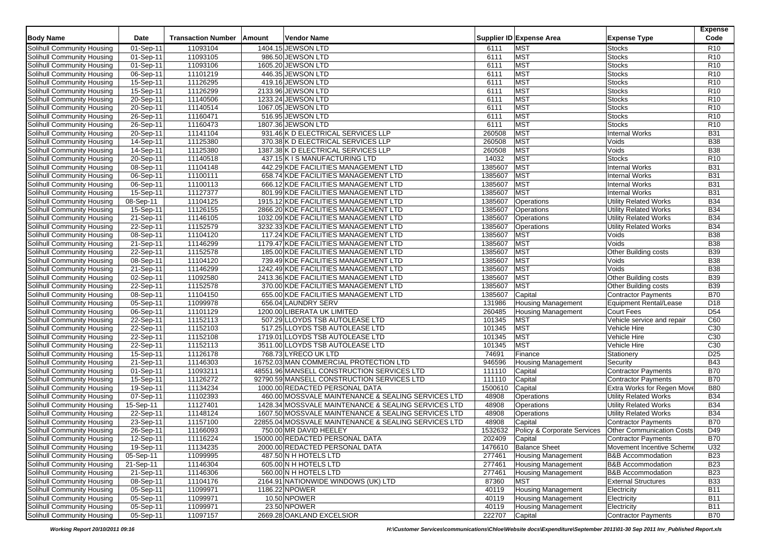| Supplier ID Expense Area<br>Solihull Community Housing<br>11093104<br>1404.15 JEWSON LTD<br>6111<br><b>MST</b><br>R <sub>10</sub><br>01-Sep-11<br><b>Stocks</b><br><b>MST</b><br>01-Sep-11<br>11093105<br><b>Stocks</b><br>R <sub>10</sub><br>Solihull Community Housing<br>986.50 JEWSON LTD<br>6111<br><b>MST</b><br>6111<br><b>Stocks</b><br>R <sub>10</sub><br>Solihull Community Housing<br>01-Sep-11<br>11093106<br>1605.20 JEWSON LTD<br><b>MST</b><br>11101219<br>446.35 JEWSON LTD<br>6111<br><b>Stocks</b><br>R <sub>10</sub><br>Solihull Community Housing<br>06-Sep-11<br><b>MST</b><br>R <sub>10</sub><br>Solihull Community Housing<br>11126295<br>419.16 JEWSON LTD<br>6111<br><b>Stocks</b><br>15-Sep-11<br>11126299<br><b>MST</b><br>R <sub>10</sub><br>Solihull Community Housing<br>15-Sep-11<br>2133.96 JEWSON LTD<br>6111<br><b>Stocks</b><br><b>MST</b><br>20-Sep-11<br>11140506<br>1233.24 JEWSON LTD<br>6111<br>R <sub>10</sub><br>Solihull Community Housing<br><b>Stocks</b><br>11140514<br>6111<br><b>MST</b><br>R <sub>10</sub><br>Solihull Community Housing<br>20-Sep-11<br>1067.05 JEWSON LTD<br><b>Stocks</b><br><b>MST</b><br>11160471<br>516.95 JEWSON LTD<br>6111<br><b>Stocks</b><br>R <sub>10</sub><br>Solihull Community Housing<br>26-Sep-11<br><b>MST</b><br>11160473<br>1807.36 JEWSON LTD<br>6111<br><b>Stocks</b><br>R <sub>10</sub><br>Solihull Community Housing<br>26-Sep-11<br><b>MST</b><br>931.46 K D ELECTRICAL SERVICES LLP<br>260508<br><b>B31</b><br>Solihull Community Housing<br>20-Sep-11<br>11141104<br><b>Internal Works</b><br>260508<br><b>MST</b><br>14-Sep-11<br>11125380<br>370.38 K D ELECTRICAL SERVICES LLP<br><b>B38</b><br>Solihull Community Housing<br>Voids<br>260508<br><b>MST</b><br>Solihull Community Housing<br>14-Sep-11<br>11125380<br>1387.38 K D ELECTRICAL SERVICES LLP<br>Voids<br><b>B38</b><br>14032<br><b>MST</b><br>Stocks<br>R <sub>10</sub><br>Solihull Community Housing<br>20-Sep-11<br>11140518<br>437.15 K I S MANUFACTURING LTD<br>1385607<br><b>MST</b><br><b>Internal Works</b><br><b>B31</b><br>Solihull Community Housing<br>08-Sep-11<br>11104148<br>442.29 KDE FACILITIES MANAGEMENT LTD<br><b>MST</b><br><b>B31</b><br>658.74 KDE FACILITIES MANAGEMENT LTD<br>1385607<br><b>Internal Works</b><br>Solihull Community Housing<br>06-Sep-11<br>11100111<br><b>MST</b><br><b>B31</b><br>1385607<br><b>Internal Works</b><br>Solihull Community Housing<br>$06-Sep-11$<br>11100113<br>666.12 KDE FACILITIES MANAGEMENT LTD<br><b>MST</b><br>11127377<br>801.99 KDE FACILITIES MANAGEMENT LTD<br>1385607<br><b>Internal Works</b><br><b>B31</b><br>Solihull Community Housing<br>15-Sep-11<br><b>B34</b><br>08-Sep-11<br>11104125<br>1915.12 KDE FACILITIES MANAGEMENT LTD<br>1385607<br><b>Utility Related Works</b><br>Solihull Community Housing<br>Operations<br>11126155<br>2866.20 KDE FACILITIES MANAGEMENT LTD<br>1385607<br><b>B34</b><br>Solihull Community Housing<br>15-Sep-11<br>Operations<br><b>Utility Related Works</b><br>Solihull Community Housing<br>11146105<br>1032.09 KDE FACILITIES MANAGEMENT LTD<br>1385607<br><b>Utility Related Works</b><br><b>B34</b><br>21-Sep-11<br>Operations<br>Solihull Community Housing<br>11152579<br>3232.33 KDE FACILITIES MANAGEMENT LTD<br>1385607<br>Operations<br>Utility Related Works<br><b>B34</b><br>22-Sep-11<br>11104120<br>1385607<br><b>MST</b><br><b>B38</b><br>Solihull Community Housing<br>08-Sep-11<br>117.24 KDE FACILITIES MANAGEMENT LTD<br>Voids<br><b>MST</b><br>Solihull Community Housing<br>21-Sep-11<br>11146299<br>1179.47 KDE FACILITIES MANAGEMENT LTD<br>1385607<br>Voids<br><b>B38</b><br>1385607<br><b>MST</b><br>Solihull Community Housing<br>22-Sep-11<br>11152578<br>185.00 KDE FACILITIES MANAGEMENT LTD<br>Other Building costs<br><b>B39</b><br><b>Solihull Community Housing</b><br>08-Sep-11<br>11104120<br>739.49 KDE FACILITIES MANAGEMENT LTD<br>1385607<br><b>MST</b><br>Voids<br><b>B38</b><br><b>MST</b><br><b>B38</b><br>1242.49 KDE FACILITIES MANAGEMENT LTD<br>1385607<br>Voids<br>Solihull Community Housing<br>21-Sep-11<br>11146299<br><b>B39</b><br>11092580<br>1385607<br><b>MST</b><br>Other Building costs<br>Solihull Community Housing<br>02-Sep-11<br>2413.36 KDE FACILITIES MANAGEMENT LTD<br>MST<br><b>B39</b><br>11152578<br>1385607<br>Solihull Community Housing<br>22-Sep-11<br>370.00 KDE FACILITIES MANAGEMENT LTD<br>Other Building costs<br><b>B70</b><br>Solihull Community Housing<br>08-Sep-11<br>11104150<br>655.00 KDE FACILITIES MANAGEMENT LTD<br>1385607<br>Capital<br><b>Contractor Payments</b><br>11099978<br>656.04 LAUNDRY SERV<br>131986<br>D18<br>Solihull Community Housing<br>05-Sep-11<br><b>Housing Management</b><br><b>Equipment Rental/Lease</b><br>D <sub>54</sub><br>11101129<br>260485<br><b>Court Fees</b><br>Solihull Community Housing<br>06-Sep-11<br>1200.00 LIBERATA UK LIMITED<br>Housing Management<br>Solihull Community Housing<br>11152113<br>507.29 LLOYDS TSB AUTOLEASE LTD<br>101345<br><b>MST</b><br>Vehicle service and repair<br>C60<br>22-Sep-11<br><b>MST</b><br>11152103<br>517.25 LLOYDS TSB AUTOLEASE LTD<br>101345<br>Vehicle Hire<br>C <sub>30</sub><br>Solihull Community Housing<br>22-Sep-11<br><b>MST</b><br>1719.01 LLOYDS TSB AUTOLEASE LTD<br>101345<br>Vehicle Hire<br>C <sub>30</sub><br>Solihull Community Housing<br>22-Sep-11<br>11152108<br><b>MST</b><br>11152113<br>3511.00 LLOYDS TSB AUTOLEASE LTD<br>101345<br>C <sub>30</sub><br>Solihull Community Housing<br>22-Sep-11<br>Vehicle Hire<br><b>Solihull Community Housing</b><br>11126178<br>74691<br>D <sub>25</sub><br>15-Sep-11<br>768.73 LYRECO UK LTD<br>Finance<br>Stationery<br>11146303<br>16752.03 MAN COMMERCIAL PROTECTION LTD<br>946596<br>Housing Management<br><b>B43</b><br>Solihull Community Housing<br>21-Sep-11<br>Security<br>48551.96 MANSELL CONSTRUCTION SERVICES LTD<br><b>Contractor Payments</b><br><b>B70</b><br>Solihull Community Housing<br>01-Sep-11<br>11093211<br>111110<br>Capital<br><b>B70</b><br>11126272<br>92790.59 MANSELL CONSTRUCTION SERVICES LTD<br>Solihull Community Housing<br>15-Sep-11<br>111110<br>Capital<br><b>Contractor Payments</b><br><b>B80</b><br>11134234<br>1000.00 REDACTED PERSONAL DATA<br>1500610<br>Capital<br>Solihull Community Housing<br>19-Sep-11<br>Extra Works for Regen Move<br>Solihull Community Housing<br>11102393<br>460.00 MOSSVALE MAINTENANCE & SEALING SERVICES LTD<br>48908<br><b>Utility Related Works</b><br><b>B34</b><br>07-Sep-11<br>Operations<br>11127401<br>1428.34 MOSSVALE MAINTENANCE & SEALING SERVICES LTD<br>48908<br><b>Utility Related Works</b><br><b>B34</b><br>Solihull Community Housing<br>15-Sep-11<br>Operations<br>11148124<br>1607.50 MOSSVALE MAINTENANCE & SEALING SERVICES LTD<br>48908<br><b>Utility Related Works</b><br><b>B34</b><br>Solihull Community Housing<br>22-Sep-11<br>Operations<br>11157100<br>22855.04 MOSSVALE MAINTENANCE & SEALING SERVICES LTD<br>48908<br><b>Contractor Payments</b><br><b>B70</b><br>Solihull Community Housing<br>23-Sep-11<br>Capital<br>11166093<br>1532632<br>Policy & Corporate Services   Other Communication Costs<br>D49<br>Solihull Community Housing<br>26-Sep-11<br>750.00 MR DAVID HEELEY<br>15000.00 REDACTED PERSONAL DATA<br>$12-Sep-11$<br>11116224<br>202409<br><b>B70</b><br>Solihull Community Housing<br>Contractor Payments<br>Capital<br>19-Sep-11<br>2000.00 REDACTED PERSONAL DATA<br>1476610<br><b>Balance Sheet</b><br>Solihull Community Housing<br>11134235<br>Movement Incentive Scheme<br>U32<br>Solihull Community Housing<br>05-Sep-11<br>11099995<br>277461<br><b>Housing Management</b><br>487.50 N H HOTELS LTD<br><b>B&amp;B</b> Accommodation<br><b>B23</b><br>Solihull Community Housing<br>21-Sep-11<br>11146304<br>605.00 N H HOTELS LTD<br>277461<br><b>B&amp;B</b> Accommodation<br><b>B23</b><br><b>Housing Management</b><br><b>B&amp;B</b> Accommodation<br><b>B23</b><br>Solihull Community Housing<br>21-Sep-11<br>11146306<br>560.00 N H HOTELS LTD<br>277461<br><b>Housing Management</b><br>Solihull Community Housing<br>08-Sep-11<br>2164.91 NATIONWIDE WINDOWS (UK) LTD<br>87360<br>MST<br><b>External Structures</b><br><b>B33</b><br>11104176<br><b>Housing Management</b><br>Solihull Community Housing<br>11099971<br><b>B11</b><br>05-Sep-11<br>1186.22 NPOWER<br>40119<br>Electricity<br>10.50 NPOWER<br>Solihull Community Housing<br>05-Sep-11<br>11099971<br>40119<br><b>Housing Management</b><br>Electricity<br><b>B11</b><br>Solihull Community Housing<br>11099971<br>23.50 NPOWER<br><b>B11</b><br>05-Sep-11<br>40119<br><b>Housing Management</b><br>Electricity<br>05-Sep-11<br>2669.28 OAKLAND EXCELSIOR<br>Capital |                            |             |                           |        |             |        |                     | <b>Expense</b> |
|----------------------------------------------------------------------------------------------------------------------------------------------------------------------------------------------------------------------------------------------------------------------------------------------------------------------------------------------------------------------------------------------------------------------------------------------------------------------------------------------------------------------------------------------------------------------------------------------------------------------------------------------------------------------------------------------------------------------------------------------------------------------------------------------------------------------------------------------------------------------------------------------------------------------------------------------------------------------------------------------------------------------------------------------------------------------------------------------------------------------------------------------------------------------------------------------------------------------------------------------------------------------------------------------------------------------------------------------------------------------------------------------------------------------------------------------------------------------------------------------------------------------------------------------------------------------------------------------------------------------------------------------------------------------------------------------------------------------------------------------------------------------------------------------------------------------------------------------------------------------------------------------------------------------------------------------------------------------------------------------------------------------------------------------------------------------------------------------------------------------------------------------------------------------------------------------------------------------------------------------------------------------------------------------------------------------------------------------------------------------------------------------------------------------------------------------------------------------------------------------------------------------------------------------------------------------------------------------------------------------------------------------------------------------------------------------------------------------------------------------------------------------------------------------------------------------------------------------------------------------------------------------------------------------------------------------------------------------------------------------------------------------------------------------------------------------------------------------------------------------------------------------------------------------------------------------------------------------------------------------------------------------------------------------------------------------------------------------------------------------------------------------------------------------------------------------------------------------------------------------------------------------------------------------------------------------------------------------------------------------------------------------------------------------------------------------------------------------------------------------------------------------------------------------------------------------------------------------------------------------------------------------------------------------------------------------------------------------------------------------------------------------------------------------------------------------------------------------------------------------------------------------------------------------------------------------------------------------------------------------------------------------------------------------------------------------------------------------------------------------------------------------------------------------------------------------------------------------------------------------------------------------------------------------------------------------------------------------------------------------------------------------------------------------------------------------------------------------------------------------------------------------------------------------------------------------------------------------------------------------------------------------------------------------------------------------------------------------------------------------------------------------------------------------------------------------------------------------------------------------------------------------------------------------------------------------------------------------------------------------------------------------------------------------------------------------------------------------------------------------------------------------------------------------------------------------------------------------------------------------------------------------------------------------------------------------------------------------------------------------------------------------------------------------------------------------------------------------------------------------------------------------------------------------------------------------------------------------------------------------------------------------------------------------------------------------------------------------------------------------------------------------------------------------------------------------------------------------------------------------------------------------------------------------------------------------------------------------------------------------------------------------------------------------------------------------------------------------------------------------------------------------------------------------------------------------------------------------------------------------------------------------------------------------------------------------------------------------------------------------------------------------------------------------------------------------------------------------------------------------------------------------------------------------------------------------------------------------------------------------------------------------------------------------------------------------------------------------------------------------------------------------------------------------------------------------------------------------------------------------------------------------------------------------------------------------------------------------------------------------------------------------------------------------------------------------------------------------------------------------------------------------------------------------------------------------------------------------------------------------------------------------------------------------------------------------------------------------------------------------------------------------------------------------------------------------------------------------------------------------------------------------------------------------------------------------------------------------------------------------------------------------------------------------------------------------------------------------------------------------------------------------------------------------------------------------------------------------------------------------------------------------------------------------------------------------------------------------------------------------------------------------------------------------------------------------------------------------------------------------------------------------------------------------------------------------------------------------------------------------------------------------------------------------------------------------------------------------------------------------------------------------------------------------------------------------------------------------------------------------------------------------------------------------------|----------------------------|-------------|---------------------------|--------|-------------|--------|---------------------|----------------|
|                                                                                                                                                                                                                                                                                                                                                                                                                                                                                                                                                                                                                                                                                                                                                                                                                                                                                                                                                                                                                                                                                                                                                                                                                                                                                                                                                                                                                                                                                                                                                                                                                                                                                                                                                                                                                                                                                                                                                                                                                                                                                                                                                                                                                                                                                                                                                                                                                                                                                                                                                                                                                                                                                                                                                                                                                                                                                                                                                                                                                                                                                                                                                                                                                                                                                                                                                                                                                                                                                                                                                                                                                                                                                                                                                                                                                                                                                                                                                                                                                                                                                                                                                                                                                                                                                                                                                                                                                                                                                                                                                                                                                                                                                                                                                                                                                                                                                                                                                                                                                                                                                                                                                                                                                                                                                                                                                                                                                                                                                                                                                                                                                                                                                                                                                                                                                                                                                                                                                                                                                                                                                                                                                                                                                                                                                                                                                                                                                                                                                                                                                                                                                                                                                                                                                                                                                                                                                                                                                                                                                                                                                                                                                                                                                                                                                                                                                                                                                                                                                                                                                                                                                                                                                                                                                                                                                                                                                                                                                                                                                                                                                                                                                                                                                                                                                                                                                                                                                                                                                                                                                                                                                                                                                                                                                                                                    | <b>Body Name</b>           | <b>Date</b> | <b>Transaction Number</b> | Amount | Vendor Name |        | <b>Expense Type</b> | Code           |
|                                                                                                                                                                                                                                                                                                                                                                                                                                                                                                                                                                                                                                                                                                                                                                                                                                                                                                                                                                                                                                                                                                                                                                                                                                                                                                                                                                                                                                                                                                                                                                                                                                                                                                                                                                                                                                                                                                                                                                                                                                                                                                                                                                                                                                                                                                                                                                                                                                                                                                                                                                                                                                                                                                                                                                                                                                                                                                                                                                                                                                                                                                                                                                                                                                                                                                                                                                                                                                                                                                                                                                                                                                                                                                                                                                                                                                                                                                                                                                                                                                                                                                                                                                                                                                                                                                                                                                                                                                                                                                                                                                                                                                                                                                                                                                                                                                                                                                                                                                                                                                                                                                                                                                                                                                                                                                                                                                                                                                                                                                                                                                                                                                                                                                                                                                                                                                                                                                                                                                                                                                                                                                                                                                                                                                                                                                                                                                                                                                                                                                                                                                                                                                                                                                                                                                                                                                                                                                                                                                                                                                                                                                                                                                                                                                                                                                                                                                                                                                                                                                                                                                                                                                                                                                                                                                                                                                                                                                                                                                                                                                                                                                                                                                                                                                                                                                                                                                                                                                                                                                                                                                                                                                                                                                                                                                                                    |                            |             |                           |        |             |        |                     |                |
|                                                                                                                                                                                                                                                                                                                                                                                                                                                                                                                                                                                                                                                                                                                                                                                                                                                                                                                                                                                                                                                                                                                                                                                                                                                                                                                                                                                                                                                                                                                                                                                                                                                                                                                                                                                                                                                                                                                                                                                                                                                                                                                                                                                                                                                                                                                                                                                                                                                                                                                                                                                                                                                                                                                                                                                                                                                                                                                                                                                                                                                                                                                                                                                                                                                                                                                                                                                                                                                                                                                                                                                                                                                                                                                                                                                                                                                                                                                                                                                                                                                                                                                                                                                                                                                                                                                                                                                                                                                                                                                                                                                                                                                                                                                                                                                                                                                                                                                                                                                                                                                                                                                                                                                                                                                                                                                                                                                                                                                                                                                                                                                                                                                                                                                                                                                                                                                                                                                                                                                                                                                                                                                                                                                                                                                                                                                                                                                                                                                                                                                                                                                                                                                                                                                                                                                                                                                                                                                                                                                                                                                                                                                                                                                                                                                                                                                                                                                                                                                                                                                                                                                                                                                                                                                                                                                                                                                                                                                                                                                                                                                                                                                                                                                                                                                                                                                                                                                                                                                                                                                                                                                                                                                                                                                                                                                                    |                            |             |                           |        |             |        |                     |                |
|                                                                                                                                                                                                                                                                                                                                                                                                                                                                                                                                                                                                                                                                                                                                                                                                                                                                                                                                                                                                                                                                                                                                                                                                                                                                                                                                                                                                                                                                                                                                                                                                                                                                                                                                                                                                                                                                                                                                                                                                                                                                                                                                                                                                                                                                                                                                                                                                                                                                                                                                                                                                                                                                                                                                                                                                                                                                                                                                                                                                                                                                                                                                                                                                                                                                                                                                                                                                                                                                                                                                                                                                                                                                                                                                                                                                                                                                                                                                                                                                                                                                                                                                                                                                                                                                                                                                                                                                                                                                                                                                                                                                                                                                                                                                                                                                                                                                                                                                                                                                                                                                                                                                                                                                                                                                                                                                                                                                                                                                                                                                                                                                                                                                                                                                                                                                                                                                                                                                                                                                                                                                                                                                                                                                                                                                                                                                                                                                                                                                                                                                                                                                                                                                                                                                                                                                                                                                                                                                                                                                                                                                                                                                                                                                                                                                                                                                                                                                                                                                                                                                                                                                                                                                                                                                                                                                                                                                                                                                                                                                                                                                                                                                                                                                                                                                                                                                                                                                                                                                                                                                                                                                                                                                                                                                                                                                    |                            |             |                           |        |             |        |                     |                |
|                                                                                                                                                                                                                                                                                                                                                                                                                                                                                                                                                                                                                                                                                                                                                                                                                                                                                                                                                                                                                                                                                                                                                                                                                                                                                                                                                                                                                                                                                                                                                                                                                                                                                                                                                                                                                                                                                                                                                                                                                                                                                                                                                                                                                                                                                                                                                                                                                                                                                                                                                                                                                                                                                                                                                                                                                                                                                                                                                                                                                                                                                                                                                                                                                                                                                                                                                                                                                                                                                                                                                                                                                                                                                                                                                                                                                                                                                                                                                                                                                                                                                                                                                                                                                                                                                                                                                                                                                                                                                                                                                                                                                                                                                                                                                                                                                                                                                                                                                                                                                                                                                                                                                                                                                                                                                                                                                                                                                                                                                                                                                                                                                                                                                                                                                                                                                                                                                                                                                                                                                                                                                                                                                                                                                                                                                                                                                                                                                                                                                                                                                                                                                                                                                                                                                                                                                                                                                                                                                                                                                                                                                                                                                                                                                                                                                                                                                                                                                                                                                                                                                                                                                                                                                                                                                                                                                                                                                                                                                                                                                                                                                                                                                                                                                                                                                                                                                                                                                                                                                                                                                                                                                                                                                                                                                                                                    |                            |             |                           |        |             |        |                     |                |
|                                                                                                                                                                                                                                                                                                                                                                                                                                                                                                                                                                                                                                                                                                                                                                                                                                                                                                                                                                                                                                                                                                                                                                                                                                                                                                                                                                                                                                                                                                                                                                                                                                                                                                                                                                                                                                                                                                                                                                                                                                                                                                                                                                                                                                                                                                                                                                                                                                                                                                                                                                                                                                                                                                                                                                                                                                                                                                                                                                                                                                                                                                                                                                                                                                                                                                                                                                                                                                                                                                                                                                                                                                                                                                                                                                                                                                                                                                                                                                                                                                                                                                                                                                                                                                                                                                                                                                                                                                                                                                                                                                                                                                                                                                                                                                                                                                                                                                                                                                                                                                                                                                                                                                                                                                                                                                                                                                                                                                                                                                                                                                                                                                                                                                                                                                                                                                                                                                                                                                                                                                                                                                                                                                                                                                                                                                                                                                                                                                                                                                                                                                                                                                                                                                                                                                                                                                                                                                                                                                                                                                                                                                                                                                                                                                                                                                                                                                                                                                                                                                                                                                                                                                                                                                                                                                                                                                                                                                                                                                                                                                                                                                                                                                                                                                                                                                                                                                                                                                                                                                                                                                                                                                                                                                                                                                                                    |                            |             |                           |        |             |        |                     |                |
|                                                                                                                                                                                                                                                                                                                                                                                                                                                                                                                                                                                                                                                                                                                                                                                                                                                                                                                                                                                                                                                                                                                                                                                                                                                                                                                                                                                                                                                                                                                                                                                                                                                                                                                                                                                                                                                                                                                                                                                                                                                                                                                                                                                                                                                                                                                                                                                                                                                                                                                                                                                                                                                                                                                                                                                                                                                                                                                                                                                                                                                                                                                                                                                                                                                                                                                                                                                                                                                                                                                                                                                                                                                                                                                                                                                                                                                                                                                                                                                                                                                                                                                                                                                                                                                                                                                                                                                                                                                                                                                                                                                                                                                                                                                                                                                                                                                                                                                                                                                                                                                                                                                                                                                                                                                                                                                                                                                                                                                                                                                                                                                                                                                                                                                                                                                                                                                                                                                                                                                                                                                                                                                                                                                                                                                                                                                                                                                                                                                                                                                                                                                                                                                                                                                                                                                                                                                                                                                                                                                                                                                                                                                                                                                                                                                                                                                                                                                                                                                                                                                                                                                                                                                                                                                                                                                                                                                                                                                                                                                                                                                                                                                                                                                                                                                                                                                                                                                                                                                                                                                                                                                                                                                                                                                                                                                                    |                            |             |                           |        |             |        |                     |                |
|                                                                                                                                                                                                                                                                                                                                                                                                                                                                                                                                                                                                                                                                                                                                                                                                                                                                                                                                                                                                                                                                                                                                                                                                                                                                                                                                                                                                                                                                                                                                                                                                                                                                                                                                                                                                                                                                                                                                                                                                                                                                                                                                                                                                                                                                                                                                                                                                                                                                                                                                                                                                                                                                                                                                                                                                                                                                                                                                                                                                                                                                                                                                                                                                                                                                                                                                                                                                                                                                                                                                                                                                                                                                                                                                                                                                                                                                                                                                                                                                                                                                                                                                                                                                                                                                                                                                                                                                                                                                                                                                                                                                                                                                                                                                                                                                                                                                                                                                                                                                                                                                                                                                                                                                                                                                                                                                                                                                                                                                                                                                                                                                                                                                                                                                                                                                                                                                                                                                                                                                                                                                                                                                                                                                                                                                                                                                                                                                                                                                                                                                                                                                                                                                                                                                                                                                                                                                                                                                                                                                                                                                                                                                                                                                                                                                                                                                                                                                                                                                                                                                                                                                                                                                                                                                                                                                                                                                                                                                                                                                                                                                                                                                                                                                                                                                                                                                                                                                                                                                                                                                                                                                                                                                                                                                                                                                    |                            |             |                           |        |             |        |                     |                |
|                                                                                                                                                                                                                                                                                                                                                                                                                                                                                                                                                                                                                                                                                                                                                                                                                                                                                                                                                                                                                                                                                                                                                                                                                                                                                                                                                                                                                                                                                                                                                                                                                                                                                                                                                                                                                                                                                                                                                                                                                                                                                                                                                                                                                                                                                                                                                                                                                                                                                                                                                                                                                                                                                                                                                                                                                                                                                                                                                                                                                                                                                                                                                                                                                                                                                                                                                                                                                                                                                                                                                                                                                                                                                                                                                                                                                                                                                                                                                                                                                                                                                                                                                                                                                                                                                                                                                                                                                                                                                                                                                                                                                                                                                                                                                                                                                                                                                                                                                                                                                                                                                                                                                                                                                                                                                                                                                                                                                                                                                                                                                                                                                                                                                                                                                                                                                                                                                                                                                                                                                                                                                                                                                                                                                                                                                                                                                                                                                                                                                                                                                                                                                                                                                                                                                                                                                                                                                                                                                                                                                                                                                                                                                                                                                                                                                                                                                                                                                                                                                                                                                                                                                                                                                                                                                                                                                                                                                                                                                                                                                                                                                                                                                                                                                                                                                                                                                                                                                                                                                                                                                                                                                                                                                                                                                                                                    |                            |             |                           |        |             |        |                     |                |
|                                                                                                                                                                                                                                                                                                                                                                                                                                                                                                                                                                                                                                                                                                                                                                                                                                                                                                                                                                                                                                                                                                                                                                                                                                                                                                                                                                                                                                                                                                                                                                                                                                                                                                                                                                                                                                                                                                                                                                                                                                                                                                                                                                                                                                                                                                                                                                                                                                                                                                                                                                                                                                                                                                                                                                                                                                                                                                                                                                                                                                                                                                                                                                                                                                                                                                                                                                                                                                                                                                                                                                                                                                                                                                                                                                                                                                                                                                                                                                                                                                                                                                                                                                                                                                                                                                                                                                                                                                                                                                                                                                                                                                                                                                                                                                                                                                                                                                                                                                                                                                                                                                                                                                                                                                                                                                                                                                                                                                                                                                                                                                                                                                                                                                                                                                                                                                                                                                                                                                                                                                                                                                                                                                                                                                                                                                                                                                                                                                                                                                                                                                                                                                                                                                                                                                                                                                                                                                                                                                                                                                                                                                                                                                                                                                                                                                                                                                                                                                                                                                                                                                                                                                                                                                                                                                                                                                                                                                                                                                                                                                                                                                                                                                                                                                                                                                                                                                                                                                                                                                                                                                                                                                                                                                                                                                                                    |                            |             |                           |        |             |        |                     |                |
|                                                                                                                                                                                                                                                                                                                                                                                                                                                                                                                                                                                                                                                                                                                                                                                                                                                                                                                                                                                                                                                                                                                                                                                                                                                                                                                                                                                                                                                                                                                                                                                                                                                                                                                                                                                                                                                                                                                                                                                                                                                                                                                                                                                                                                                                                                                                                                                                                                                                                                                                                                                                                                                                                                                                                                                                                                                                                                                                                                                                                                                                                                                                                                                                                                                                                                                                                                                                                                                                                                                                                                                                                                                                                                                                                                                                                                                                                                                                                                                                                                                                                                                                                                                                                                                                                                                                                                                                                                                                                                                                                                                                                                                                                                                                                                                                                                                                                                                                                                                                                                                                                                                                                                                                                                                                                                                                                                                                                                                                                                                                                                                                                                                                                                                                                                                                                                                                                                                                                                                                                                                                                                                                                                                                                                                                                                                                                                                                                                                                                                                                                                                                                                                                                                                                                                                                                                                                                                                                                                                                                                                                                                                                                                                                                                                                                                                                                                                                                                                                                                                                                                                                                                                                                                                                                                                                                                                                                                                                                                                                                                                                                                                                                                                                                                                                                                                                                                                                                                                                                                                                                                                                                                                                                                                                                                                                    |                            |             |                           |        |             |        |                     |                |
|                                                                                                                                                                                                                                                                                                                                                                                                                                                                                                                                                                                                                                                                                                                                                                                                                                                                                                                                                                                                                                                                                                                                                                                                                                                                                                                                                                                                                                                                                                                                                                                                                                                                                                                                                                                                                                                                                                                                                                                                                                                                                                                                                                                                                                                                                                                                                                                                                                                                                                                                                                                                                                                                                                                                                                                                                                                                                                                                                                                                                                                                                                                                                                                                                                                                                                                                                                                                                                                                                                                                                                                                                                                                                                                                                                                                                                                                                                                                                                                                                                                                                                                                                                                                                                                                                                                                                                                                                                                                                                                                                                                                                                                                                                                                                                                                                                                                                                                                                                                                                                                                                                                                                                                                                                                                                                                                                                                                                                                                                                                                                                                                                                                                                                                                                                                                                                                                                                                                                                                                                                                                                                                                                                                                                                                                                                                                                                                                                                                                                                                                                                                                                                                                                                                                                                                                                                                                                                                                                                                                                                                                                                                                                                                                                                                                                                                                                                                                                                                                                                                                                                                                                                                                                                                                                                                                                                                                                                                                                                                                                                                                                                                                                                                                                                                                                                                                                                                                                                                                                                                                                                                                                                                                                                                                                                                                    |                            |             |                           |        |             |        |                     |                |
|                                                                                                                                                                                                                                                                                                                                                                                                                                                                                                                                                                                                                                                                                                                                                                                                                                                                                                                                                                                                                                                                                                                                                                                                                                                                                                                                                                                                                                                                                                                                                                                                                                                                                                                                                                                                                                                                                                                                                                                                                                                                                                                                                                                                                                                                                                                                                                                                                                                                                                                                                                                                                                                                                                                                                                                                                                                                                                                                                                                                                                                                                                                                                                                                                                                                                                                                                                                                                                                                                                                                                                                                                                                                                                                                                                                                                                                                                                                                                                                                                                                                                                                                                                                                                                                                                                                                                                                                                                                                                                                                                                                                                                                                                                                                                                                                                                                                                                                                                                                                                                                                                                                                                                                                                                                                                                                                                                                                                                                                                                                                                                                                                                                                                                                                                                                                                                                                                                                                                                                                                                                                                                                                                                                                                                                                                                                                                                                                                                                                                                                                                                                                                                                                                                                                                                                                                                                                                                                                                                                                                                                                                                                                                                                                                                                                                                                                                                                                                                                                                                                                                                                                                                                                                                                                                                                                                                                                                                                                                                                                                                                                                                                                                                                                                                                                                                                                                                                                                                                                                                                                                                                                                                                                                                                                                                                                    |                            |             |                           |        |             |        |                     |                |
|                                                                                                                                                                                                                                                                                                                                                                                                                                                                                                                                                                                                                                                                                                                                                                                                                                                                                                                                                                                                                                                                                                                                                                                                                                                                                                                                                                                                                                                                                                                                                                                                                                                                                                                                                                                                                                                                                                                                                                                                                                                                                                                                                                                                                                                                                                                                                                                                                                                                                                                                                                                                                                                                                                                                                                                                                                                                                                                                                                                                                                                                                                                                                                                                                                                                                                                                                                                                                                                                                                                                                                                                                                                                                                                                                                                                                                                                                                                                                                                                                                                                                                                                                                                                                                                                                                                                                                                                                                                                                                                                                                                                                                                                                                                                                                                                                                                                                                                                                                                                                                                                                                                                                                                                                                                                                                                                                                                                                                                                                                                                                                                                                                                                                                                                                                                                                                                                                                                                                                                                                                                                                                                                                                                                                                                                                                                                                                                                                                                                                                                                                                                                                                                                                                                                                                                                                                                                                                                                                                                                                                                                                                                                                                                                                                                                                                                                                                                                                                                                                                                                                                                                                                                                                                                                                                                                                                                                                                                                                                                                                                                                                                                                                                                                                                                                                                                                                                                                                                                                                                                                                                                                                                                                                                                                                                                                    |                            |             |                           |        |             |        |                     |                |
|                                                                                                                                                                                                                                                                                                                                                                                                                                                                                                                                                                                                                                                                                                                                                                                                                                                                                                                                                                                                                                                                                                                                                                                                                                                                                                                                                                                                                                                                                                                                                                                                                                                                                                                                                                                                                                                                                                                                                                                                                                                                                                                                                                                                                                                                                                                                                                                                                                                                                                                                                                                                                                                                                                                                                                                                                                                                                                                                                                                                                                                                                                                                                                                                                                                                                                                                                                                                                                                                                                                                                                                                                                                                                                                                                                                                                                                                                                                                                                                                                                                                                                                                                                                                                                                                                                                                                                                                                                                                                                                                                                                                                                                                                                                                                                                                                                                                                                                                                                                                                                                                                                                                                                                                                                                                                                                                                                                                                                                                                                                                                                                                                                                                                                                                                                                                                                                                                                                                                                                                                                                                                                                                                                                                                                                                                                                                                                                                                                                                                                                                                                                                                                                                                                                                                                                                                                                                                                                                                                                                                                                                                                                                                                                                                                                                                                                                                                                                                                                                                                                                                                                                                                                                                                                                                                                                                                                                                                                                                                                                                                                                                                                                                                                                                                                                                                                                                                                                                                                                                                                                                                                                                                                                                                                                                                                                    |                            |             |                           |        |             |        |                     |                |
|                                                                                                                                                                                                                                                                                                                                                                                                                                                                                                                                                                                                                                                                                                                                                                                                                                                                                                                                                                                                                                                                                                                                                                                                                                                                                                                                                                                                                                                                                                                                                                                                                                                                                                                                                                                                                                                                                                                                                                                                                                                                                                                                                                                                                                                                                                                                                                                                                                                                                                                                                                                                                                                                                                                                                                                                                                                                                                                                                                                                                                                                                                                                                                                                                                                                                                                                                                                                                                                                                                                                                                                                                                                                                                                                                                                                                                                                                                                                                                                                                                                                                                                                                                                                                                                                                                                                                                                                                                                                                                                                                                                                                                                                                                                                                                                                                                                                                                                                                                                                                                                                                                                                                                                                                                                                                                                                                                                                                                                                                                                                                                                                                                                                                                                                                                                                                                                                                                                                                                                                                                                                                                                                                                                                                                                                                                                                                                                                                                                                                                                                                                                                                                                                                                                                                                                                                                                                                                                                                                                                                                                                                                                                                                                                                                                                                                                                                                                                                                                                                                                                                                                                                                                                                                                                                                                                                                                                                                                                                                                                                                                                                                                                                                                                                                                                                                                                                                                                                                                                                                                                                                                                                                                                                                                                                                                                    |                            |             |                           |        |             |        |                     |                |
|                                                                                                                                                                                                                                                                                                                                                                                                                                                                                                                                                                                                                                                                                                                                                                                                                                                                                                                                                                                                                                                                                                                                                                                                                                                                                                                                                                                                                                                                                                                                                                                                                                                                                                                                                                                                                                                                                                                                                                                                                                                                                                                                                                                                                                                                                                                                                                                                                                                                                                                                                                                                                                                                                                                                                                                                                                                                                                                                                                                                                                                                                                                                                                                                                                                                                                                                                                                                                                                                                                                                                                                                                                                                                                                                                                                                                                                                                                                                                                                                                                                                                                                                                                                                                                                                                                                                                                                                                                                                                                                                                                                                                                                                                                                                                                                                                                                                                                                                                                                                                                                                                                                                                                                                                                                                                                                                                                                                                                                                                                                                                                                                                                                                                                                                                                                                                                                                                                                                                                                                                                                                                                                                                                                                                                                                                                                                                                                                                                                                                                                                                                                                                                                                                                                                                                                                                                                                                                                                                                                                                                                                                                                                                                                                                                                                                                                                                                                                                                                                                                                                                                                                                                                                                                                                                                                                                                                                                                                                                                                                                                                                                                                                                                                                                                                                                                                                                                                                                                                                                                                                                                                                                                                                                                                                                                                                    |                            |             |                           |        |             |        |                     |                |
|                                                                                                                                                                                                                                                                                                                                                                                                                                                                                                                                                                                                                                                                                                                                                                                                                                                                                                                                                                                                                                                                                                                                                                                                                                                                                                                                                                                                                                                                                                                                                                                                                                                                                                                                                                                                                                                                                                                                                                                                                                                                                                                                                                                                                                                                                                                                                                                                                                                                                                                                                                                                                                                                                                                                                                                                                                                                                                                                                                                                                                                                                                                                                                                                                                                                                                                                                                                                                                                                                                                                                                                                                                                                                                                                                                                                                                                                                                                                                                                                                                                                                                                                                                                                                                                                                                                                                                                                                                                                                                                                                                                                                                                                                                                                                                                                                                                                                                                                                                                                                                                                                                                                                                                                                                                                                                                                                                                                                                                                                                                                                                                                                                                                                                                                                                                                                                                                                                                                                                                                                                                                                                                                                                                                                                                                                                                                                                                                                                                                                                                                                                                                                                                                                                                                                                                                                                                                                                                                                                                                                                                                                                                                                                                                                                                                                                                                                                                                                                                                                                                                                                                                                                                                                                                                                                                                                                                                                                                                                                                                                                                                                                                                                                                                                                                                                                                                                                                                                                                                                                                                                                                                                                                                                                                                                                                                    |                            |             |                           |        |             |        |                     |                |
|                                                                                                                                                                                                                                                                                                                                                                                                                                                                                                                                                                                                                                                                                                                                                                                                                                                                                                                                                                                                                                                                                                                                                                                                                                                                                                                                                                                                                                                                                                                                                                                                                                                                                                                                                                                                                                                                                                                                                                                                                                                                                                                                                                                                                                                                                                                                                                                                                                                                                                                                                                                                                                                                                                                                                                                                                                                                                                                                                                                                                                                                                                                                                                                                                                                                                                                                                                                                                                                                                                                                                                                                                                                                                                                                                                                                                                                                                                                                                                                                                                                                                                                                                                                                                                                                                                                                                                                                                                                                                                                                                                                                                                                                                                                                                                                                                                                                                                                                                                                                                                                                                                                                                                                                                                                                                                                                                                                                                                                                                                                                                                                                                                                                                                                                                                                                                                                                                                                                                                                                                                                                                                                                                                                                                                                                                                                                                                                                                                                                                                                                                                                                                                                                                                                                                                                                                                                                                                                                                                                                                                                                                                                                                                                                                                                                                                                                                                                                                                                                                                                                                                                                                                                                                                                                                                                                                                                                                                                                                                                                                                                                                                                                                                                                                                                                                                                                                                                                                                                                                                                                                                                                                                                                                                                                                                                                    |                            |             |                           |        |             |        |                     |                |
|                                                                                                                                                                                                                                                                                                                                                                                                                                                                                                                                                                                                                                                                                                                                                                                                                                                                                                                                                                                                                                                                                                                                                                                                                                                                                                                                                                                                                                                                                                                                                                                                                                                                                                                                                                                                                                                                                                                                                                                                                                                                                                                                                                                                                                                                                                                                                                                                                                                                                                                                                                                                                                                                                                                                                                                                                                                                                                                                                                                                                                                                                                                                                                                                                                                                                                                                                                                                                                                                                                                                                                                                                                                                                                                                                                                                                                                                                                                                                                                                                                                                                                                                                                                                                                                                                                                                                                                                                                                                                                                                                                                                                                                                                                                                                                                                                                                                                                                                                                                                                                                                                                                                                                                                                                                                                                                                                                                                                                                                                                                                                                                                                                                                                                                                                                                                                                                                                                                                                                                                                                                                                                                                                                                                                                                                                                                                                                                                                                                                                                                                                                                                                                                                                                                                                                                                                                                                                                                                                                                                                                                                                                                                                                                                                                                                                                                                                                                                                                                                                                                                                                                                                                                                                                                                                                                                                                                                                                                                                                                                                                                                                                                                                                                                                                                                                                                                                                                                                                                                                                                                                                                                                                                                                                                                                                                                    |                            |             |                           |        |             |        |                     |                |
|                                                                                                                                                                                                                                                                                                                                                                                                                                                                                                                                                                                                                                                                                                                                                                                                                                                                                                                                                                                                                                                                                                                                                                                                                                                                                                                                                                                                                                                                                                                                                                                                                                                                                                                                                                                                                                                                                                                                                                                                                                                                                                                                                                                                                                                                                                                                                                                                                                                                                                                                                                                                                                                                                                                                                                                                                                                                                                                                                                                                                                                                                                                                                                                                                                                                                                                                                                                                                                                                                                                                                                                                                                                                                                                                                                                                                                                                                                                                                                                                                                                                                                                                                                                                                                                                                                                                                                                                                                                                                                                                                                                                                                                                                                                                                                                                                                                                                                                                                                                                                                                                                                                                                                                                                                                                                                                                                                                                                                                                                                                                                                                                                                                                                                                                                                                                                                                                                                                                                                                                                                                                                                                                                                                                                                                                                                                                                                                                                                                                                                                                                                                                                                                                                                                                                                                                                                                                                                                                                                                                                                                                                                                                                                                                                                                                                                                                                                                                                                                                                                                                                                                                                                                                                                                                                                                                                                                                                                                                                                                                                                                                                                                                                                                                                                                                                                                                                                                                                                                                                                                                                                                                                                                                                                                                                                                                    |                            |             |                           |        |             |        |                     |                |
|                                                                                                                                                                                                                                                                                                                                                                                                                                                                                                                                                                                                                                                                                                                                                                                                                                                                                                                                                                                                                                                                                                                                                                                                                                                                                                                                                                                                                                                                                                                                                                                                                                                                                                                                                                                                                                                                                                                                                                                                                                                                                                                                                                                                                                                                                                                                                                                                                                                                                                                                                                                                                                                                                                                                                                                                                                                                                                                                                                                                                                                                                                                                                                                                                                                                                                                                                                                                                                                                                                                                                                                                                                                                                                                                                                                                                                                                                                                                                                                                                                                                                                                                                                                                                                                                                                                                                                                                                                                                                                                                                                                                                                                                                                                                                                                                                                                                                                                                                                                                                                                                                                                                                                                                                                                                                                                                                                                                                                                                                                                                                                                                                                                                                                                                                                                                                                                                                                                                                                                                                                                                                                                                                                                                                                                                                                                                                                                                                                                                                                                                                                                                                                                                                                                                                                                                                                                                                                                                                                                                                                                                                                                                                                                                                                                                                                                                                                                                                                                                                                                                                                                                                                                                                                                                                                                                                                                                                                                                                                                                                                                                                                                                                                                                                                                                                                                                                                                                                                                                                                                                                                                                                                                                                                                                                                                                    |                            |             |                           |        |             |        |                     |                |
|                                                                                                                                                                                                                                                                                                                                                                                                                                                                                                                                                                                                                                                                                                                                                                                                                                                                                                                                                                                                                                                                                                                                                                                                                                                                                                                                                                                                                                                                                                                                                                                                                                                                                                                                                                                                                                                                                                                                                                                                                                                                                                                                                                                                                                                                                                                                                                                                                                                                                                                                                                                                                                                                                                                                                                                                                                                                                                                                                                                                                                                                                                                                                                                                                                                                                                                                                                                                                                                                                                                                                                                                                                                                                                                                                                                                                                                                                                                                                                                                                                                                                                                                                                                                                                                                                                                                                                                                                                                                                                                                                                                                                                                                                                                                                                                                                                                                                                                                                                                                                                                                                                                                                                                                                                                                                                                                                                                                                                                                                                                                                                                                                                                                                                                                                                                                                                                                                                                                                                                                                                                                                                                                                                                                                                                                                                                                                                                                                                                                                                                                                                                                                                                                                                                                                                                                                                                                                                                                                                                                                                                                                                                                                                                                                                                                                                                                                                                                                                                                                                                                                                                                                                                                                                                                                                                                                                                                                                                                                                                                                                                                                                                                                                                                                                                                                                                                                                                                                                                                                                                                                                                                                                                                                                                                                                                                    |                            |             |                           |        |             |        |                     |                |
|                                                                                                                                                                                                                                                                                                                                                                                                                                                                                                                                                                                                                                                                                                                                                                                                                                                                                                                                                                                                                                                                                                                                                                                                                                                                                                                                                                                                                                                                                                                                                                                                                                                                                                                                                                                                                                                                                                                                                                                                                                                                                                                                                                                                                                                                                                                                                                                                                                                                                                                                                                                                                                                                                                                                                                                                                                                                                                                                                                                                                                                                                                                                                                                                                                                                                                                                                                                                                                                                                                                                                                                                                                                                                                                                                                                                                                                                                                                                                                                                                                                                                                                                                                                                                                                                                                                                                                                                                                                                                                                                                                                                                                                                                                                                                                                                                                                                                                                                                                                                                                                                                                                                                                                                                                                                                                                                                                                                                                                                                                                                                                                                                                                                                                                                                                                                                                                                                                                                                                                                                                                                                                                                                                                                                                                                                                                                                                                                                                                                                                                                                                                                                                                                                                                                                                                                                                                                                                                                                                                                                                                                                                                                                                                                                                                                                                                                                                                                                                                                                                                                                                                                                                                                                                                                                                                                                                                                                                                                                                                                                                                                                                                                                                                                                                                                                                                                                                                                                                                                                                                                                                                                                                                                                                                                                                                                    |                            |             |                           |        |             |        |                     |                |
|                                                                                                                                                                                                                                                                                                                                                                                                                                                                                                                                                                                                                                                                                                                                                                                                                                                                                                                                                                                                                                                                                                                                                                                                                                                                                                                                                                                                                                                                                                                                                                                                                                                                                                                                                                                                                                                                                                                                                                                                                                                                                                                                                                                                                                                                                                                                                                                                                                                                                                                                                                                                                                                                                                                                                                                                                                                                                                                                                                                                                                                                                                                                                                                                                                                                                                                                                                                                                                                                                                                                                                                                                                                                                                                                                                                                                                                                                                                                                                                                                                                                                                                                                                                                                                                                                                                                                                                                                                                                                                                                                                                                                                                                                                                                                                                                                                                                                                                                                                                                                                                                                                                                                                                                                                                                                                                                                                                                                                                                                                                                                                                                                                                                                                                                                                                                                                                                                                                                                                                                                                                                                                                                                                                                                                                                                                                                                                                                                                                                                                                                                                                                                                                                                                                                                                                                                                                                                                                                                                                                                                                                                                                                                                                                                                                                                                                                                                                                                                                                                                                                                                                                                                                                                                                                                                                                                                                                                                                                                                                                                                                                                                                                                                                                                                                                                                                                                                                                                                                                                                                                                                                                                                                                                                                                                                                                    |                            |             |                           |        |             |        |                     |                |
|                                                                                                                                                                                                                                                                                                                                                                                                                                                                                                                                                                                                                                                                                                                                                                                                                                                                                                                                                                                                                                                                                                                                                                                                                                                                                                                                                                                                                                                                                                                                                                                                                                                                                                                                                                                                                                                                                                                                                                                                                                                                                                                                                                                                                                                                                                                                                                                                                                                                                                                                                                                                                                                                                                                                                                                                                                                                                                                                                                                                                                                                                                                                                                                                                                                                                                                                                                                                                                                                                                                                                                                                                                                                                                                                                                                                                                                                                                                                                                                                                                                                                                                                                                                                                                                                                                                                                                                                                                                                                                                                                                                                                                                                                                                                                                                                                                                                                                                                                                                                                                                                                                                                                                                                                                                                                                                                                                                                                                                                                                                                                                                                                                                                                                                                                                                                                                                                                                                                                                                                                                                                                                                                                                                                                                                                                                                                                                                                                                                                                                                                                                                                                                                                                                                                                                                                                                                                                                                                                                                                                                                                                                                                                                                                                                                                                                                                                                                                                                                                                                                                                                                                                                                                                                                                                                                                                                                                                                                                                                                                                                                                                                                                                                                                                                                                                                                                                                                                                                                                                                                                                                                                                                                                                                                                                                                                    |                            |             |                           |        |             |        |                     |                |
|                                                                                                                                                                                                                                                                                                                                                                                                                                                                                                                                                                                                                                                                                                                                                                                                                                                                                                                                                                                                                                                                                                                                                                                                                                                                                                                                                                                                                                                                                                                                                                                                                                                                                                                                                                                                                                                                                                                                                                                                                                                                                                                                                                                                                                                                                                                                                                                                                                                                                                                                                                                                                                                                                                                                                                                                                                                                                                                                                                                                                                                                                                                                                                                                                                                                                                                                                                                                                                                                                                                                                                                                                                                                                                                                                                                                                                                                                                                                                                                                                                                                                                                                                                                                                                                                                                                                                                                                                                                                                                                                                                                                                                                                                                                                                                                                                                                                                                                                                                                                                                                                                                                                                                                                                                                                                                                                                                                                                                                                                                                                                                                                                                                                                                                                                                                                                                                                                                                                                                                                                                                                                                                                                                                                                                                                                                                                                                                                                                                                                                                                                                                                                                                                                                                                                                                                                                                                                                                                                                                                                                                                                                                                                                                                                                                                                                                                                                                                                                                                                                                                                                                                                                                                                                                                                                                                                                                                                                                                                                                                                                                                                                                                                                                                                                                                                                                                                                                                                                                                                                                                                                                                                                                                                                                                                                                                    |                            |             |                           |        |             |        |                     |                |
|                                                                                                                                                                                                                                                                                                                                                                                                                                                                                                                                                                                                                                                                                                                                                                                                                                                                                                                                                                                                                                                                                                                                                                                                                                                                                                                                                                                                                                                                                                                                                                                                                                                                                                                                                                                                                                                                                                                                                                                                                                                                                                                                                                                                                                                                                                                                                                                                                                                                                                                                                                                                                                                                                                                                                                                                                                                                                                                                                                                                                                                                                                                                                                                                                                                                                                                                                                                                                                                                                                                                                                                                                                                                                                                                                                                                                                                                                                                                                                                                                                                                                                                                                                                                                                                                                                                                                                                                                                                                                                                                                                                                                                                                                                                                                                                                                                                                                                                                                                                                                                                                                                                                                                                                                                                                                                                                                                                                                                                                                                                                                                                                                                                                                                                                                                                                                                                                                                                                                                                                                                                                                                                                                                                                                                                                                                                                                                                                                                                                                                                                                                                                                                                                                                                                                                                                                                                                                                                                                                                                                                                                                                                                                                                                                                                                                                                                                                                                                                                                                                                                                                                                                                                                                                                                                                                                                                                                                                                                                                                                                                                                                                                                                                                                                                                                                                                                                                                                                                                                                                                                                                                                                                                                                                                                                                                                    |                            |             |                           |        |             |        |                     |                |
|                                                                                                                                                                                                                                                                                                                                                                                                                                                                                                                                                                                                                                                                                                                                                                                                                                                                                                                                                                                                                                                                                                                                                                                                                                                                                                                                                                                                                                                                                                                                                                                                                                                                                                                                                                                                                                                                                                                                                                                                                                                                                                                                                                                                                                                                                                                                                                                                                                                                                                                                                                                                                                                                                                                                                                                                                                                                                                                                                                                                                                                                                                                                                                                                                                                                                                                                                                                                                                                                                                                                                                                                                                                                                                                                                                                                                                                                                                                                                                                                                                                                                                                                                                                                                                                                                                                                                                                                                                                                                                                                                                                                                                                                                                                                                                                                                                                                                                                                                                                                                                                                                                                                                                                                                                                                                                                                                                                                                                                                                                                                                                                                                                                                                                                                                                                                                                                                                                                                                                                                                                                                                                                                                                                                                                                                                                                                                                                                                                                                                                                                                                                                                                                                                                                                                                                                                                                                                                                                                                                                                                                                                                                                                                                                                                                                                                                                                                                                                                                                                                                                                                                                                                                                                                                                                                                                                                                                                                                                                                                                                                                                                                                                                                                                                                                                                                                                                                                                                                                                                                                                                                                                                                                                                                                                                                                                    |                            |             |                           |        |             |        |                     |                |
|                                                                                                                                                                                                                                                                                                                                                                                                                                                                                                                                                                                                                                                                                                                                                                                                                                                                                                                                                                                                                                                                                                                                                                                                                                                                                                                                                                                                                                                                                                                                                                                                                                                                                                                                                                                                                                                                                                                                                                                                                                                                                                                                                                                                                                                                                                                                                                                                                                                                                                                                                                                                                                                                                                                                                                                                                                                                                                                                                                                                                                                                                                                                                                                                                                                                                                                                                                                                                                                                                                                                                                                                                                                                                                                                                                                                                                                                                                                                                                                                                                                                                                                                                                                                                                                                                                                                                                                                                                                                                                                                                                                                                                                                                                                                                                                                                                                                                                                                                                                                                                                                                                                                                                                                                                                                                                                                                                                                                                                                                                                                                                                                                                                                                                                                                                                                                                                                                                                                                                                                                                                                                                                                                                                                                                                                                                                                                                                                                                                                                                                                                                                                                                                                                                                                                                                                                                                                                                                                                                                                                                                                                                                                                                                                                                                                                                                                                                                                                                                                                                                                                                                                                                                                                                                                                                                                                                                                                                                                                                                                                                                                                                                                                                                                                                                                                                                                                                                                                                                                                                                                                                                                                                                                                                                                                                                                    |                            |             |                           |        |             |        |                     |                |
|                                                                                                                                                                                                                                                                                                                                                                                                                                                                                                                                                                                                                                                                                                                                                                                                                                                                                                                                                                                                                                                                                                                                                                                                                                                                                                                                                                                                                                                                                                                                                                                                                                                                                                                                                                                                                                                                                                                                                                                                                                                                                                                                                                                                                                                                                                                                                                                                                                                                                                                                                                                                                                                                                                                                                                                                                                                                                                                                                                                                                                                                                                                                                                                                                                                                                                                                                                                                                                                                                                                                                                                                                                                                                                                                                                                                                                                                                                                                                                                                                                                                                                                                                                                                                                                                                                                                                                                                                                                                                                                                                                                                                                                                                                                                                                                                                                                                                                                                                                                                                                                                                                                                                                                                                                                                                                                                                                                                                                                                                                                                                                                                                                                                                                                                                                                                                                                                                                                                                                                                                                                                                                                                                                                                                                                                                                                                                                                                                                                                                                                                                                                                                                                                                                                                                                                                                                                                                                                                                                                                                                                                                                                                                                                                                                                                                                                                                                                                                                                                                                                                                                                                                                                                                                                                                                                                                                                                                                                                                                                                                                                                                                                                                                                                                                                                                                                                                                                                                                                                                                                                                                                                                                                                                                                                                                                                    |                            |             |                           |        |             |        |                     |                |
|                                                                                                                                                                                                                                                                                                                                                                                                                                                                                                                                                                                                                                                                                                                                                                                                                                                                                                                                                                                                                                                                                                                                                                                                                                                                                                                                                                                                                                                                                                                                                                                                                                                                                                                                                                                                                                                                                                                                                                                                                                                                                                                                                                                                                                                                                                                                                                                                                                                                                                                                                                                                                                                                                                                                                                                                                                                                                                                                                                                                                                                                                                                                                                                                                                                                                                                                                                                                                                                                                                                                                                                                                                                                                                                                                                                                                                                                                                                                                                                                                                                                                                                                                                                                                                                                                                                                                                                                                                                                                                                                                                                                                                                                                                                                                                                                                                                                                                                                                                                                                                                                                                                                                                                                                                                                                                                                                                                                                                                                                                                                                                                                                                                                                                                                                                                                                                                                                                                                                                                                                                                                                                                                                                                                                                                                                                                                                                                                                                                                                                                                                                                                                                                                                                                                                                                                                                                                                                                                                                                                                                                                                                                                                                                                                                                                                                                                                                                                                                                                                                                                                                                                                                                                                                                                                                                                                                                                                                                                                                                                                                                                                                                                                                                                                                                                                                                                                                                                                                                                                                                                                                                                                                                                                                                                                                                                    |                            |             |                           |        |             |        |                     |                |
|                                                                                                                                                                                                                                                                                                                                                                                                                                                                                                                                                                                                                                                                                                                                                                                                                                                                                                                                                                                                                                                                                                                                                                                                                                                                                                                                                                                                                                                                                                                                                                                                                                                                                                                                                                                                                                                                                                                                                                                                                                                                                                                                                                                                                                                                                                                                                                                                                                                                                                                                                                                                                                                                                                                                                                                                                                                                                                                                                                                                                                                                                                                                                                                                                                                                                                                                                                                                                                                                                                                                                                                                                                                                                                                                                                                                                                                                                                                                                                                                                                                                                                                                                                                                                                                                                                                                                                                                                                                                                                                                                                                                                                                                                                                                                                                                                                                                                                                                                                                                                                                                                                                                                                                                                                                                                                                                                                                                                                                                                                                                                                                                                                                                                                                                                                                                                                                                                                                                                                                                                                                                                                                                                                                                                                                                                                                                                                                                                                                                                                                                                                                                                                                                                                                                                                                                                                                                                                                                                                                                                                                                                                                                                                                                                                                                                                                                                                                                                                                                                                                                                                                                                                                                                                                                                                                                                                                                                                                                                                                                                                                                                                                                                                                                                                                                                                                                                                                                                                                                                                                                                                                                                                                                                                                                                                                                    |                            |             |                           |        |             |        |                     |                |
|                                                                                                                                                                                                                                                                                                                                                                                                                                                                                                                                                                                                                                                                                                                                                                                                                                                                                                                                                                                                                                                                                                                                                                                                                                                                                                                                                                                                                                                                                                                                                                                                                                                                                                                                                                                                                                                                                                                                                                                                                                                                                                                                                                                                                                                                                                                                                                                                                                                                                                                                                                                                                                                                                                                                                                                                                                                                                                                                                                                                                                                                                                                                                                                                                                                                                                                                                                                                                                                                                                                                                                                                                                                                                                                                                                                                                                                                                                                                                                                                                                                                                                                                                                                                                                                                                                                                                                                                                                                                                                                                                                                                                                                                                                                                                                                                                                                                                                                                                                                                                                                                                                                                                                                                                                                                                                                                                                                                                                                                                                                                                                                                                                                                                                                                                                                                                                                                                                                                                                                                                                                                                                                                                                                                                                                                                                                                                                                                                                                                                                                                                                                                                                                                                                                                                                                                                                                                                                                                                                                                                                                                                                                                                                                                                                                                                                                                                                                                                                                                                                                                                                                                                                                                                                                                                                                                                                                                                                                                                                                                                                                                                                                                                                                                                                                                                                                                                                                                                                                                                                                                                                                                                                                                                                                                                                                                    |                            |             |                           |        |             |        |                     |                |
|                                                                                                                                                                                                                                                                                                                                                                                                                                                                                                                                                                                                                                                                                                                                                                                                                                                                                                                                                                                                                                                                                                                                                                                                                                                                                                                                                                                                                                                                                                                                                                                                                                                                                                                                                                                                                                                                                                                                                                                                                                                                                                                                                                                                                                                                                                                                                                                                                                                                                                                                                                                                                                                                                                                                                                                                                                                                                                                                                                                                                                                                                                                                                                                                                                                                                                                                                                                                                                                                                                                                                                                                                                                                                                                                                                                                                                                                                                                                                                                                                                                                                                                                                                                                                                                                                                                                                                                                                                                                                                                                                                                                                                                                                                                                                                                                                                                                                                                                                                                                                                                                                                                                                                                                                                                                                                                                                                                                                                                                                                                                                                                                                                                                                                                                                                                                                                                                                                                                                                                                                                                                                                                                                                                                                                                                                                                                                                                                                                                                                                                                                                                                                                                                                                                                                                                                                                                                                                                                                                                                                                                                                                                                                                                                                                                                                                                                                                                                                                                                                                                                                                                                                                                                                                                                                                                                                                                                                                                                                                                                                                                                                                                                                                                                                                                                                                                                                                                                                                                                                                                                                                                                                                                                                                                                                                                                    |                            |             |                           |        |             |        |                     |                |
|                                                                                                                                                                                                                                                                                                                                                                                                                                                                                                                                                                                                                                                                                                                                                                                                                                                                                                                                                                                                                                                                                                                                                                                                                                                                                                                                                                                                                                                                                                                                                                                                                                                                                                                                                                                                                                                                                                                                                                                                                                                                                                                                                                                                                                                                                                                                                                                                                                                                                                                                                                                                                                                                                                                                                                                                                                                                                                                                                                                                                                                                                                                                                                                                                                                                                                                                                                                                                                                                                                                                                                                                                                                                                                                                                                                                                                                                                                                                                                                                                                                                                                                                                                                                                                                                                                                                                                                                                                                                                                                                                                                                                                                                                                                                                                                                                                                                                                                                                                                                                                                                                                                                                                                                                                                                                                                                                                                                                                                                                                                                                                                                                                                                                                                                                                                                                                                                                                                                                                                                                                                                                                                                                                                                                                                                                                                                                                                                                                                                                                                                                                                                                                                                                                                                                                                                                                                                                                                                                                                                                                                                                                                                                                                                                                                                                                                                                                                                                                                                                                                                                                                                                                                                                                                                                                                                                                                                                                                                                                                                                                                                                                                                                                                                                                                                                                                                                                                                                                                                                                                                                                                                                                                                                                                                                                                                    |                            |             |                           |        |             |        |                     |                |
|                                                                                                                                                                                                                                                                                                                                                                                                                                                                                                                                                                                                                                                                                                                                                                                                                                                                                                                                                                                                                                                                                                                                                                                                                                                                                                                                                                                                                                                                                                                                                                                                                                                                                                                                                                                                                                                                                                                                                                                                                                                                                                                                                                                                                                                                                                                                                                                                                                                                                                                                                                                                                                                                                                                                                                                                                                                                                                                                                                                                                                                                                                                                                                                                                                                                                                                                                                                                                                                                                                                                                                                                                                                                                                                                                                                                                                                                                                                                                                                                                                                                                                                                                                                                                                                                                                                                                                                                                                                                                                                                                                                                                                                                                                                                                                                                                                                                                                                                                                                                                                                                                                                                                                                                                                                                                                                                                                                                                                                                                                                                                                                                                                                                                                                                                                                                                                                                                                                                                                                                                                                                                                                                                                                                                                                                                                                                                                                                                                                                                                                                                                                                                                                                                                                                                                                                                                                                                                                                                                                                                                                                                                                                                                                                                                                                                                                                                                                                                                                                                                                                                                                                                                                                                                                                                                                                                                                                                                                                                                                                                                                                                                                                                                                                                                                                                                                                                                                                                                                                                                                                                                                                                                                                                                                                                                                                    |                            |             |                           |        |             |        |                     |                |
|                                                                                                                                                                                                                                                                                                                                                                                                                                                                                                                                                                                                                                                                                                                                                                                                                                                                                                                                                                                                                                                                                                                                                                                                                                                                                                                                                                                                                                                                                                                                                                                                                                                                                                                                                                                                                                                                                                                                                                                                                                                                                                                                                                                                                                                                                                                                                                                                                                                                                                                                                                                                                                                                                                                                                                                                                                                                                                                                                                                                                                                                                                                                                                                                                                                                                                                                                                                                                                                                                                                                                                                                                                                                                                                                                                                                                                                                                                                                                                                                                                                                                                                                                                                                                                                                                                                                                                                                                                                                                                                                                                                                                                                                                                                                                                                                                                                                                                                                                                                                                                                                                                                                                                                                                                                                                                                                                                                                                                                                                                                                                                                                                                                                                                                                                                                                                                                                                                                                                                                                                                                                                                                                                                                                                                                                                                                                                                                                                                                                                                                                                                                                                                                                                                                                                                                                                                                                                                                                                                                                                                                                                                                                                                                                                                                                                                                                                                                                                                                                                                                                                                                                                                                                                                                                                                                                                                                                                                                                                                                                                                                                                                                                                                                                                                                                                                                                                                                                                                                                                                                                                                                                                                                                                                                                                                                                    |                            |             |                           |        |             |        |                     |                |
|                                                                                                                                                                                                                                                                                                                                                                                                                                                                                                                                                                                                                                                                                                                                                                                                                                                                                                                                                                                                                                                                                                                                                                                                                                                                                                                                                                                                                                                                                                                                                                                                                                                                                                                                                                                                                                                                                                                                                                                                                                                                                                                                                                                                                                                                                                                                                                                                                                                                                                                                                                                                                                                                                                                                                                                                                                                                                                                                                                                                                                                                                                                                                                                                                                                                                                                                                                                                                                                                                                                                                                                                                                                                                                                                                                                                                                                                                                                                                                                                                                                                                                                                                                                                                                                                                                                                                                                                                                                                                                                                                                                                                                                                                                                                                                                                                                                                                                                                                                                                                                                                                                                                                                                                                                                                                                                                                                                                                                                                                                                                                                                                                                                                                                                                                                                                                                                                                                                                                                                                                                                                                                                                                                                                                                                                                                                                                                                                                                                                                                                                                                                                                                                                                                                                                                                                                                                                                                                                                                                                                                                                                                                                                                                                                                                                                                                                                                                                                                                                                                                                                                                                                                                                                                                                                                                                                                                                                                                                                                                                                                                                                                                                                                                                                                                                                                                                                                                                                                                                                                                                                                                                                                                                                                                                                                                                    |                            |             |                           |        |             |        |                     |                |
|                                                                                                                                                                                                                                                                                                                                                                                                                                                                                                                                                                                                                                                                                                                                                                                                                                                                                                                                                                                                                                                                                                                                                                                                                                                                                                                                                                                                                                                                                                                                                                                                                                                                                                                                                                                                                                                                                                                                                                                                                                                                                                                                                                                                                                                                                                                                                                                                                                                                                                                                                                                                                                                                                                                                                                                                                                                                                                                                                                                                                                                                                                                                                                                                                                                                                                                                                                                                                                                                                                                                                                                                                                                                                                                                                                                                                                                                                                                                                                                                                                                                                                                                                                                                                                                                                                                                                                                                                                                                                                                                                                                                                                                                                                                                                                                                                                                                                                                                                                                                                                                                                                                                                                                                                                                                                                                                                                                                                                                                                                                                                                                                                                                                                                                                                                                                                                                                                                                                                                                                                                                                                                                                                                                                                                                                                                                                                                                                                                                                                                                                                                                                                                                                                                                                                                                                                                                                                                                                                                                                                                                                                                                                                                                                                                                                                                                                                                                                                                                                                                                                                                                                                                                                                                                                                                                                                                                                                                                                                                                                                                                                                                                                                                                                                                                                                                                                                                                                                                                                                                                                                                                                                                                                                                                                                                                                    |                            |             |                           |        |             |        |                     |                |
|                                                                                                                                                                                                                                                                                                                                                                                                                                                                                                                                                                                                                                                                                                                                                                                                                                                                                                                                                                                                                                                                                                                                                                                                                                                                                                                                                                                                                                                                                                                                                                                                                                                                                                                                                                                                                                                                                                                                                                                                                                                                                                                                                                                                                                                                                                                                                                                                                                                                                                                                                                                                                                                                                                                                                                                                                                                                                                                                                                                                                                                                                                                                                                                                                                                                                                                                                                                                                                                                                                                                                                                                                                                                                                                                                                                                                                                                                                                                                                                                                                                                                                                                                                                                                                                                                                                                                                                                                                                                                                                                                                                                                                                                                                                                                                                                                                                                                                                                                                                                                                                                                                                                                                                                                                                                                                                                                                                                                                                                                                                                                                                                                                                                                                                                                                                                                                                                                                                                                                                                                                                                                                                                                                                                                                                                                                                                                                                                                                                                                                                                                                                                                                                                                                                                                                                                                                                                                                                                                                                                                                                                                                                                                                                                                                                                                                                                                                                                                                                                                                                                                                                                                                                                                                                                                                                                                                                                                                                                                                                                                                                                                                                                                                                                                                                                                                                                                                                                                                                                                                                                                                                                                                                                                                                                                                                                    |                            |             |                           |        |             |        |                     |                |
|                                                                                                                                                                                                                                                                                                                                                                                                                                                                                                                                                                                                                                                                                                                                                                                                                                                                                                                                                                                                                                                                                                                                                                                                                                                                                                                                                                                                                                                                                                                                                                                                                                                                                                                                                                                                                                                                                                                                                                                                                                                                                                                                                                                                                                                                                                                                                                                                                                                                                                                                                                                                                                                                                                                                                                                                                                                                                                                                                                                                                                                                                                                                                                                                                                                                                                                                                                                                                                                                                                                                                                                                                                                                                                                                                                                                                                                                                                                                                                                                                                                                                                                                                                                                                                                                                                                                                                                                                                                                                                                                                                                                                                                                                                                                                                                                                                                                                                                                                                                                                                                                                                                                                                                                                                                                                                                                                                                                                                                                                                                                                                                                                                                                                                                                                                                                                                                                                                                                                                                                                                                                                                                                                                                                                                                                                                                                                                                                                                                                                                                                                                                                                                                                                                                                                                                                                                                                                                                                                                                                                                                                                                                                                                                                                                                                                                                                                                                                                                                                                                                                                                                                                                                                                                                                                                                                                                                                                                                                                                                                                                                                                                                                                                                                                                                                                                                                                                                                                                                                                                                                                                                                                                                                                                                                                                                                    |                            |             |                           |        |             |        |                     |                |
|                                                                                                                                                                                                                                                                                                                                                                                                                                                                                                                                                                                                                                                                                                                                                                                                                                                                                                                                                                                                                                                                                                                                                                                                                                                                                                                                                                                                                                                                                                                                                                                                                                                                                                                                                                                                                                                                                                                                                                                                                                                                                                                                                                                                                                                                                                                                                                                                                                                                                                                                                                                                                                                                                                                                                                                                                                                                                                                                                                                                                                                                                                                                                                                                                                                                                                                                                                                                                                                                                                                                                                                                                                                                                                                                                                                                                                                                                                                                                                                                                                                                                                                                                                                                                                                                                                                                                                                                                                                                                                                                                                                                                                                                                                                                                                                                                                                                                                                                                                                                                                                                                                                                                                                                                                                                                                                                                                                                                                                                                                                                                                                                                                                                                                                                                                                                                                                                                                                                                                                                                                                                                                                                                                                                                                                                                                                                                                                                                                                                                                                                                                                                                                                                                                                                                                                                                                                                                                                                                                                                                                                                                                                                                                                                                                                                                                                                                                                                                                                                                                                                                                                                                                                                                                                                                                                                                                                                                                                                                                                                                                                                                                                                                                                                                                                                                                                                                                                                                                                                                                                                                                                                                                                                                                                                                                                                    |                            |             |                           |        |             |        |                     |                |
|                                                                                                                                                                                                                                                                                                                                                                                                                                                                                                                                                                                                                                                                                                                                                                                                                                                                                                                                                                                                                                                                                                                                                                                                                                                                                                                                                                                                                                                                                                                                                                                                                                                                                                                                                                                                                                                                                                                                                                                                                                                                                                                                                                                                                                                                                                                                                                                                                                                                                                                                                                                                                                                                                                                                                                                                                                                                                                                                                                                                                                                                                                                                                                                                                                                                                                                                                                                                                                                                                                                                                                                                                                                                                                                                                                                                                                                                                                                                                                                                                                                                                                                                                                                                                                                                                                                                                                                                                                                                                                                                                                                                                                                                                                                                                                                                                                                                                                                                                                                                                                                                                                                                                                                                                                                                                                                                                                                                                                                                                                                                                                                                                                                                                                                                                                                                                                                                                                                                                                                                                                                                                                                                                                                                                                                                                                                                                                                                                                                                                                                                                                                                                                                                                                                                                                                                                                                                                                                                                                                                                                                                                                                                                                                                                                                                                                                                                                                                                                                                                                                                                                                                                                                                                                                                                                                                                                                                                                                                                                                                                                                                                                                                                                                                                                                                                                                                                                                                                                                                                                                                                                                                                                                                                                                                                                                                    |                            |             |                           |        |             |        |                     |                |
|                                                                                                                                                                                                                                                                                                                                                                                                                                                                                                                                                                                                                                                                                                                                                                                                                                                                                                                                                                                                                                                                                                                                                                                                                                                                                                                                                                                                                                                                                                                                                                                                                                                                                                                                                                                                                                                                                                                                                                                                                                                                                                                                                                                                                                                                                                                                                                                                                                                                                                                                                                                                                                                                                                                                                                                                                                                                                                                                                                                                                                                                                                                                                                                                                                                                                                                                                                                                                                                                                                                                                                                                                                                                                                                                                                                                                                                                                                                                                                                                                                                                                                                                                                                                                                                                                                                                                                                                                                                                                                                                                                                                                                                                                                                                                                                                                                                                                                                                                                                                                                                                                                                                                                                                                                                                                                                                                                                                                                                                                                                                                                                                                                                                                                                                                                                                                                                                                                                                                                                                                                                                                                                                                                                                                                                                                                                                                                                                                                                                                                                                                                                                                                                                                                                                                                                                                                                                                                                                                                                                                                                                                                                                                                                                                                                                                                                                                                                                                                                                                                                                                                                                                                                                                                                                                                                                                                                                                                                                                                                                                                                                                                                                                                                                                                                                                                                                                                                                                                                                                                                                                                                                                                                                                                                                                                                                    |                            |             |                           |        |             |        |                     |                |
|                                                                                                                                                                                                                                                                                                                                                                                                                                                                                                                                                                                                                                                                                                                                                                                                                                                                                                                                                                                                                                                                                                                                                                                                                                                                                                                                                                                                                                                                                                                                                                                                                                                                                                                                                                                                                                                                                                                                                                                                                                                                                                                                                                                                                                                                                                                                                                                                                                                                                                                                                                                                                                                                                                                                                                                                                                                                                                                                                                                                                                                                                                                                                                                                                                                                                                                                                                                                                                                                                                                                                                                                                                                                                                                                                                                                                                                                                                                                                                                                                                                                                                                                                                                                                                                                                                                                                                                                                                                                                                                                                                                                                                                                                                                                                                                                                                                                                                                                                                                                                                                                                                                                                                                                                                                                                                                                                                                                                                                                                                                                                                                                                                                                                                                                                                                                                                                                                                                                                                                                                                                                                                                                                                                                                                                                                                                                                                                                                                                                                                                                                                                                                                                                                                                                                                                                                                                                                                                                                                                                                                                                                                                                                                                                                                                                                                                                                                                                                                                                                                                                                                                                                                                                                                                                                                                                                                                                                                                                                                                                                                                                                                                                                                                                                                                                                                                                                                                                                                                                                                                                                                                                                                                                                                                                                                                                    |                            |             |                           |        |             |        |                     |                |
|                                                                                                                                                                                                                                                                                                                                                                                                                                                                                                                                                                                                                                                                                                                                                                                                                                                                                                                                                                                                                                                                                                                                                                                                                                                                                                                                                                                                                                                                                                                                                                                                                                                                                                                                                                                                                                                                                                                                                                                                                                                                                                                                                                                                                                                                                                                                                                                                                                                                                                                                                                                                                                                                                                                                                                                                                                                                                                                                                                                                                                                                                                                                                                                                                                                                                                                                                                                                                                                                                                                                                                                                                                                                                                                                                                                                                                                                                                                                                                                                                                                                                                                                                                                                                                                                                                                                                                                                                                                                                                                                                                                                                                                                                                                                                                                                                                                                                                                                                                                                                                                                                                                                                                                                                                                                                                                                                                                                                                                                                                                                                                                                                                                                                                                                                                                                                                                                                                                                                                                                                                                                                                                                                                                                                                                                                                                                                                                                                                                                                                                                                                                                                                                                                                                                                                                                                                                                                                                                                                                                                                                                                                                                                                                                                                                                                                                                                                                                                                                                                                                                                                                                                                                                                                                                                                                                                                                                                                                                                                                                                                                                                                                                                                                                                                                                                                                                                                                                                                                                                                                                                                                                                                                                                                                                                                                                    |                            |             |                           |        |             |        |                     |                |
|                                                                                                                                                                                                                                                                                                                                                                                                                                                                                                                                                                                                                                                                                                                                                                                                                                                                                                                                                                                                                                                                                                                                                                                                                                                                                                                                                                                                                                                                                                                                                                                                                                                                                                                                                                                                                                                                                                                                                                                                                                                                                                                                                                                                                                                                                                                                                                                                                                                                                                                                                                                                                                                                                                                                                                                                                                                                                                                                                                                                                                                                                                                                                                                                                                                                                                                                                                                                                                                                                                                                                                                                                                                                                                                                                                                                                                                                                                                                                                                                                                                                                                                                                                                                                                                                                                                                                                                                                                                                                                                                                                                                                                                                                                                                                                                                                                                                                                                                                                                                                                                                                                                                                                                                                                                                                                                                                                                                                                                                                                                                                                                                                                                                                                                                                                                                                                                                                                                                                                                                                                                                                                                                                                                                                                                                                                                                                                                                                                                                                                                                                                                                                                                                                                                                                                                                                                                                                                                                                                                                                                                                                                                                                                                                                                                                                                                                                                                                                                                                                                                                                                                                                                                                                                                                                                                                                                                                                                                                                                                                                                                                                                                                                                                                                                                                                                                                                                                                                                                                                                                                                                                                                                                                                                                                                                                                    |                            |             |                           |        |             |        |                     |                |
|                                                                                                                                                                                                                                                                                                                                                                                                                                                                                                                                                                                                                                                                                                                                                                                                                                                                                                                                                                                                                                                                                                                                                                                                                                                                                                                                                                                                                                                                                                                                                                                                                                                                                                                                                                                                                                                                                                                                                                                                                                                                                                                                                                                                                                                                                                                                                                                                                                                                                                                                                                                                                                                                                                                                                                                                                                                                                                                                                                                                                                                                                                                                                                                                                                                                                                                                                                                                                                                                                                                                                                                                                                                                                                                                                                                                                                                                                                                                                                                                                                                                                                                                                                                                                                                                                                                                                                                                                                                                                                                                                                                                                                                                                                                                                                                                                                                                                                                                                                                                                                                                                                                                                                                                                                                                                                                                                                                                                                                                                                                                                                                                                                                                                                                                                                                                                                                                                                                                                                                                                                                                                                                                                                                                                                                                                                                                                                                                                                                                                                                                                                                                                                                                                                                                                                                                                                                                                                                                                                                                                                                                                                                                                                                                                                                                                                                                                                                                                                                                                                                                                                                                                                                                                                                                                                                                                                                                                                                                                                                                                                                                                                                                                                                                                                                                                                                                                                                                                                                                                                                                                                                                                                                                                                                                                                                                    |                            |             |                           |        |             |        |                     |                |
|                                                                                                                                                                                                                                                                                                                                                                                                                                                                                                                                                                                                                                                                                                                                                                                                                                                                                                                                                                                                                                                                                                                                                                                                                                                                                                                                                                                                                                                                                                                                                                                                                                                                                                                                                                                                                                                                                                                                                                                                                                                                                                                                                                                                                                                                                                                                                                                                                                                                                                                                                                                                                                                                                                                                                                                                                                                                                                                                                                                                                                                                                                                                                                                                                                                                                                                                                                                                                                                                                                                                                                                                                                                                                                                                                                                                                                                                                                                                                                                                                                                                                                                                                                                                                                                                                                                                                                                                                                                                                                                                                                                                                                                                                                                                                                                                                                                                                                                                                                                                                                                                                                                                                                                                                                                                                                                                                                                                                                                                                                                                                                                                                                                                                                                                                                                                                                                                                                                                                                                                                                                                                                                                                                                                                                                                                                                                                                                                                                                                                                                                                                                                                                                                                                                                                                                                                                                                                                                                                                                                                                                                                                                                                                                                                                                                                                                                                                                                                                                                                                                                                                                                                                                                                                                                                                                                                                                                                                                                                                                                                                                                                                                                                                                                                                                                                                                                                                                                                                                                                                                                                                                                                                                                                                                                                                                                    |                            |             |                           |        |             |        |                     |                |
|                                                                                                                                                                                                                                                                                                                                                                                                                                                                                                                                                                                                                                                                                                                                                                                                                                                                                                                                                                                                                                                                                                                                                                                                                                                                                                                                                                                                                                                                                                                                                                                                                                                                                                                                                                                                                                                                                                                                                                                                                                                                                                                                                                                                                                                                                                                                                                                                                                                                                                                                                                                                                                                                                                                                                                                                                                                                                                                                                                                                                                                                                                                                                                                                                                                                                                                                                                                                                                                                                                                                                                                                                                                                                                                                                                                                                                                                                                                                                                                                                                                                                                                                                                                                                                                                                                                                                                                                                                                                                                                                                                                                                                                                                                                                                                                                                                                                                                                                                                                                                                                                                                                                                                                                                                                                                                                                                                                                                                                                                                                                                                                                                                                                                                                                                                                                                                                                                                                                                                                                                                                                                                                                                                                                                                                                                                                                                                                                                                                                                                                                                                                                                                                                                                                                                                                                                                                                                                                                                                                                                                                                                                                                                                                                                                                                                                                                                                                                                                                                                                                                                                                                                                                                                                                                                                                                                                                                                                                                                                                                                                                                                                                                                                                                                                                                                                                                                                                                                                                                                                                                                                                                                                                                                                                                                                                                    |                            |             |                           |        |             |        |                     |                |
|                                                                                                                                                                                                                                                                                                                                                                                                                                                                                                                                                                                                                                                                                                                                                                                                                                                                                                                                                                                                                                                                                                                                                                                                                                                                                                                                                                                                                                                                                                                                                                                                                                                                                                                                                                                                                                                                                                                                                                                                                                                                                                                                                                                                                                                                                                                                                                                                                                                                                                                                                                                                                                                                                                                                                                                                                                                                                                                                                                                                                                                                                                                                                                                                                                                                                                                                                                                                                                                                                                                                                                                                                                                                                                                                                                                                                                                                                                                                                                                                                                                                                                                                                                                                                                                                                                                                                                                                                                                                                                                                                                                                                                                                                                                                                                                                                                                                                                                                                                                                                                                                                                                                                                                                                                                                                                                                                                                                                                                                                                                                                                                                                                                                                                                                                                                                                                                                                                                                                                                                                                                                                                                                                                                                                                                                                                                                                                                                                                                                                                                                                                                                                                                                                                                                                                                                                                                                                                                                                                                                                                                                                                                                                                                                                                                                                                                                                                                                                                                                                                                                                                                                                                                                                                                                                                                                                                                                                                                                                                                                                                                                                                                                                                                                                                                                                                                                                                                                                                                                                                                                                                                                                                                                                                                                                                                                    |                            |             |                           |        |             |        |                     |                |
|                                                                                                                                                                                                                                                                                                                                                                                                                                                                                                                                                                                                                                                                                                                                                                                                                                                                                                                                                                                                                                                                                                                                                                                                                                                                                                                                                                                                                                                                                                                                                                                                                                                                                                                                                                                                                                                                                                                                                                                                                                                                                                                                                                                                                                                                                                                                                                                                                                                                                                                                                                                                                                                                                                                                                                                                                                                                                                                                                                                                                                                                                                                                                                                                                                                                                                                                                                                                                                                                                                                                                                                                                                                                                                                                                                                                                                                                                                                                                                                                                                                                                                                                                                                                                                                                                                                                                                                                                                                                                                                                                                                                                                                                                                                                                                                                                                                                                                                                                                                                                                                                                                                                                                                                                                                                                                                                                                                                                                                                                                                                                                                                                                                                                                                                                                                                                                                                                                                                                                                                                                                                                                                                                                                                                                                                                                                                                                                                                                                                                                                                                                                                                                                                                                                                                                                                                                                                                                                                                                                                                                                                                                                                                                                                                                                                                                                                                                                                                                                                                                                                                                                                                                                                                                                                                                                                                                                                                                                                                                                                                                                                                                                                                                                                                                                                                                                                                                                                                                                                                                                                                                                                                                                                                                                                                                                                    |                            |             |                           |        |             |        |                     |                |
|                                                                                                                                                                                                                                                                                                                                                                                                                                                                                                                                                                                                                                                                                                                                                                                                                                                                                                                                                                                                                                                                                                                                                                                                                                                                                                                                                                                                                                                                                                                                                                                                                                                                                                                                                                                                                                                                                                                                                                                                                                                                                                                                                                                                                                                                                                                                                                                                                                                                                                                                                                                                                                                                                                                                                                                                                                                                                                                                                                                                                                                                                                                                                                                                                                                                                                                                                                                                                                                                                                                                                                                                                                                                                                                                                                                                                                                                                                                                                                                                                                                                                                                                                                                                                                                                                                                                                                                                                                                                                                                                                                                                                                                                                                                                                                                                                                                                                                                                                                                                                                                                                                                                                                                                                                                                                                                                                                                                                                                                                                                                                                                                                                                                                                                                                                                                                                                                                                                                                                                                                                                                                                                                                                                                                                                                                                                                                                                                                                                                                                                                                                                                                                                                                                                                                                                                                                                                                                                                                                                                                                                                                                                                                                                                                                                                                                                                                                                                                                                                                                                                                                                                                                                                                                                                                                                                                                                                                                                                                                                                                                                                                                                                                                                                                                                                                                                                                                                                                                                                                                                                                                                                                                                                                                                                                                                                    |                            |             |                           |        |             |        |                     |                |
|                                                                                                                                                                                                                                                                                                                                                                                                                                                                                                                                                                                                                                                                                                                                                                                                                                                                                                                                                                                                                                                                                                                                                                                                                                                                                                                                                                                                                                                                                                                                                                                                                                                                                                                                                                                                                                                                                                                                                                                                                                                                                                                                                                                                                                                                                                                                                                                                                                                                                                                                                                                                                                                                                                                                                                                                                                                                                                                                                                                                                                                                                                                                                                                                                                                                                                                                                                                                                                                                                                                                                                                                                                                                                                                                                                                                                                                                                                                                                                                                                                                                                                                                                                                                                                                                                                                                                                                                                                                                                                                                                                                                                                                                                                                                                                                                                                                                                                                                                                                                                                                                                                                                                                                                                                                                                                                                                                                                                                                                                                                                                                                                                                                                                                                                                                                                                                                                                                                                                                                                                                                                                                                                                                                                                                                                                                                                                                                                                                                                                                                                                                                                                                                                                                                                                                                                                                                                                                                                                                                                                                                                                                                                                                                                                                                                                                                                                                                                                                                                                                                                                                                                                                                                                                                                                                                                                                                                                                                                                                                                                                                                                                                                                                                                                                                                                                                                                                                                                                                                                                                                                                                                                                                                                                                                                                                                    |                            |             |                           |        |             |        |                     |                |
|                                                                                                                                                                                                                                                                                                                                                                                                                                                                                                                                                                                                                                                                                                                                                                                                                                                                                                                                                                                                                                                                                                                                                                                                                                                                                                                                                                                                                                                                                                                                                                                                                                                                                                                                                                                                                                                                                                                                                                                                                                                                                                                                                                                                                                                                                                                                                                                                                                                                                                                                                                                                                                                                                                                                                                                                                                                                                                                                                                                                                                                                                                                                                                                                                                                                                                                                                                                                                                                                                                                                                                                                                                                                                                                                                                                                                                                                                                                                                                                                                                                                                                                                                                                                                                                                                                                                                                                                                                                                                                                                                                                                                                                                                                                                                                                                                                                                                                                                                                                                                                                                                                                                                                                                                                                                                                                                                                                                                                                                                                                                                                                                                                                                                                                                                                                                                                                                                                                                                                                                                                                                                                                                                                                                                                                                                                                                                                                                                                                                                                                                                                                                                                                                                                                                                                                                                                                                                                                                                                                                                                                                                                                                                                                                                                                                                                                                                                                                                                                                                                                                                                                                                                                                                                                                                                                                                                                                                                                                                                                                                                                                                                                                                                                                                                                                                                                                                                                                                                                                                                                                                                                                                                                                                                                                                                                                    | Solihull Community Housing |             | 11097157                  |        |             | 222707 | Contractor Payments | <b>B70</b>     |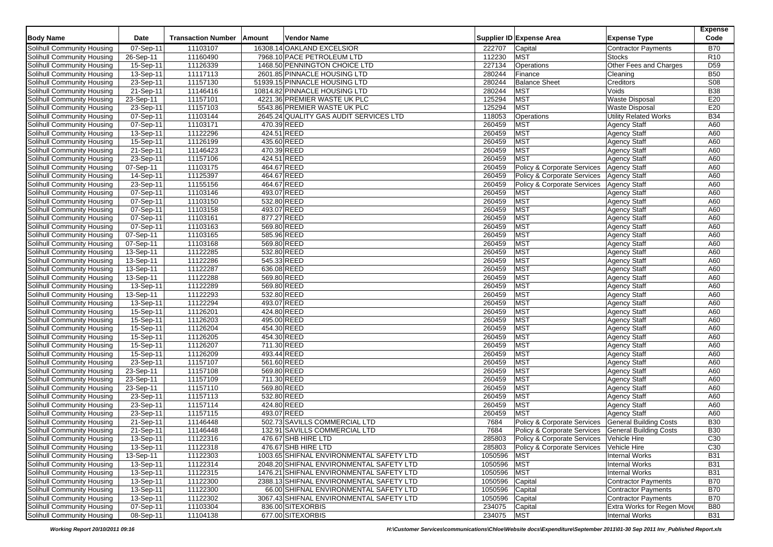|                                   |                         |                           |             |                                          |            |                             |                                                                | <b>Expense</b>  |
|-----------------------------------|-------------------------|---------------------------|-------------|------------------------------------------|------------|-----------------------------|----------------------------------------------------------------|-----------------|
| <b>Body Name</b>                  | Date                    | <b>Transaction Number</b> | Amount      | <b>Vendor Name</b>                       |            | Supplier ID Expense Area    | <b>Expense Type</b>                                            | Code            |
| Solihull Community Housing        | 07-Sep-11               | 11103107                  |             | 16308.14 OAKLAND EXCELSIOR               | 222707     | Capital                     | <b>Contractor Payments</b>                                     | <b>B70</b>      |
| Solihull Community Housing        | 26-Sep-11               | 11160490                  |             | 7968.10 PACE PETROLEUM LTD               | 112230     | <b>MST</b>                  | <b>Stocks</b>                                                  | R <sub>10</sub> |
| Solihull Community Housing        | 15-Sep-11               | 11126339                  |             | 1468.50 PENNINGTON CHOICE LTD            | 227134     | Operations                  | Other Fees and Charges                                         | D <sub>59</sub> |
| Solihull Community Housing        | 13-Sep-11               | 11117113                  |             | 2601.85 PINNACLE HOUSING LTD             | 280244     | Finance                     | Cleaning                                                       | <b>B50</b>      |
| Solihull Community Housing        | 23-Sep-11               | 11157130                  |             | 51939.15 PINNACLE HOUSING LTD            | 280244     | <b>Balance Sheet</b>        | Creditors                                                      | <b>S08</b>      |
| Solihull Community Housing        | 21-Sep-11               | 11146416                  |             | 10814.82 PINNACLE HOUSING LTD            | 280244     | <b>MST</b>                  | Voids                                                          | <b>B38</b>      |
| Solihull Community Housing        | 23-Sep-11               | 11157101                  |             | 4221.36 PREMIER WASTE UK PLC             | 125294     | <b>MST</b>                  | <b>Waste Disposal</b>                                          | E20             |
| Solihull Community Housing        | 23-Sep-11               | 11157103                  |             | 5543.86 PREMIER WASTE UK PLC             | 125294     | <b>MST</b>                  | <b>Waste Disposal</b>                                          | E20             |
| Solihull Community Housing        | 07-Sep-11               | 11103144                  |             | 2645.24 QUALITY GAS AUDIT SERVICES LTD   | 118053     | Operations                  | <b>Utility Related Works</b>                                   | <b>B34</b>      |
| Solihull Community Housing        | 07-Sep-11               | 11103171                  | 470.39 REED |                                          | 260459     | <b>MST</b>                  | <b>Agency Staff</b>                                            | A60             |
| <b>Solihull Community Housing</b> | 13-Sep-11               | 11122296                  | 424.51 REED |                                          | 260459     | <b>MST</b>                  | <b>Agency Staff</b>                                            | A60             |
| Solihull Community Housing        | 15-Sep-11               | 11126199                  | 435.60 REED |                                          | 260459     | <b>MST</b>                  | <b>Agency Staff</b>                                            | A60             |
| Solihull Community Housing        | 21-Sep-11               | 11146423                  | 470.39 REED |                                          | 260459     | <b>MST</b>                  | <b>Agency Staff</b>                                            | A60             |
| Solihull Community Housing        | 23-Sep-11               | 11157106                  | 424.51 REED |                                          | 260459     | <b>MST</b>                  | <b>Agency Staff</b>                                            | A60             |
| Solihull Community Housing        | 07-Sep-11               | 11103175                  | 464.67 REED |                                          | 260459     | Policy & Corporate Services | <b>Agency Staff</b>                                            | A60             |
| Solihull Community Housing        | 14-Sep-11               | 11125397                  | 464.67 REED |                                          | 260459     | Policy & Corporate Services | <b>Agency Staff</b>                                            | A60             |
| <b>Solihull Community Housing</b> | 23-Sep-11               | 11155156                  | 464.67 REED |                                          | 260459     | Policy & Corporate Services | <b>Agency Staff</b>                                            | A60             |
| Solihull Community Housing        | 07-Sep-11               | 11103146                  | 493.07 REED |                                          | 260459     | <b>MST</b>                  | <b>Agency Staff</b>                                            | A60             |
| Solihull Community Housing        | 07-Sep-11               | 11103150                  | 532.80 REED |                                          | 260459     | <b>MST</b>                  | <b>Agency Staff</b>                                            | A60             |
| Solihull Community Housing        | 07-Sep-11               | 11103158                  | 493.07 REED |                                          | 260459     | <b>MST</b>                  | <b>Agency Staff</b>                                            | A60             |
| Solihull Community Housing        | $\overline{07-}$ Sep-11 | 11103161                  | 877.27 REED |                                          | 260459     | <b>MST</b>                  | <b>Agency Staff</b>                                            | A60             |
| Solihull Community Housing        | 07-Sep-11               | 11103163                  | 569.80 REED |                                          | 260459     | <b>MST</b>                  | <b>Agency Staff</b>                                            | A60             |
| <b>Solihull Community Housing</b> | 07-Sep-11               | 11103165                  | 585.96 REED |                                          | 260459     | <b>MST</b>                  | <b>Agency Staff</b>                                            | A60             |
| Solihull Community Housing        | 07-Sep-11               | 11103168                  | 569.80 REED |                                          | 260459     | <b>MST</b>                  | <b>Agency Staff</b>                                            | A60             |
| Solihull Community Housing        | 13-Sep-11               | 11122285                  | 532.80 REED |                                          | 260459     | <b>MST</b>                  | <b>Agency Staff</b>                                            | A60             |
| <b>Solihull Community Housing</b> | 13-Sep-11               | 11122286                  | 545.33 REED |                                          | 260459     | <b>MST</b>                  | <b>Agency Staff</b>                                            | A60             |
| Solihull Community Housing        | 13-Sep-11               | 11122287                  | 636.08 REED |                                          | 260459     | <b>MST</b>                  | <b>Agency Staff</b>                                            | A60             |
| Solihull Community Housing        | 13-Sep-11               | 11122288                  | 569.80 REED |                                          | 260459     | <b>MST</b>                  | Agency Staff                                                   | A60             |
| Solihull Community Housing        | 13-Sep-11               | 11122289                  | 569.80 REED |                                          | 260459     | <b>MST</b>                  | <b>Agency Staff</b>                                            | A60             |
| Solihull Community Housing        | 13-Sep-11               | 11122293                  | 532.80 REED |                                          | 260459     | <b>MST</b>                  | <b>Agency Staff</b>                                            | A60             |
| Solihull Community Housing        | 13-Sep-11               | 11122294                  | 493.07 REED |                                          | 260459     | <b>MST</b>                  | <b>Agency Staff</b>                                            | A60             |
| Solihull Community Housing        | 15-Sep-11               | 11126201                  | 424.80 REED |                                          | 260459     | <b>MST</b>                  | <b>Agency Staff</b>                                            | A60             |
| Solihull Community Housing        | 15-Sep-11               | 11126203                  | 495.00 REED |                                          | 260459     | <b>MST</b>                  | <b>Agency Staff</b>                                            | A60             |
| Solihull Community Housing        | 15-Sep-11               | 11126204                  | 454.30 REED |                                          | 260459     | <b>MST</b>                  | <b>Agency Staff</b>                                            | A60             |
| Solihull Community Housing        | 15-Sep-11               | 11126205                  | 454.30 REED |                                          | 260459     | <b>MST</b>                  | <b>Agency Staff</b>                                            | A60             |
| Solihull Community Housing        | 15-Sep-11               | 11126207                  | 711.30 REED |                                          | 260459     | <b>MST</b>                  | <b>Agency Staff</b>                                            | A60             |
| <b>Solihull Community Housing</b> | 15-Sep-11               | 11126209                  | 493.44 REED |                                          | 260459     | <b>MST</b>                  | <b>Agency Staff</b>                                            | A60             |
| Solihull Community Housing        | 23-Sep-11               | 11157107                  | 561.60 REED |                                          | 260459     | <b>MST</b>                  | <b>Agency Staff</b>                                            | A60             |
| Solihull Community Housing        | 23-Sep-11               | 11157108                  | 569.80 REED |                                          | 260459     | <b>MST</b>                  |                                                                | A60             |
| Solihull Community Housing        | 23-Sep-11               | 11157109                  | 711.30 REED |                                          | 260459     | <b>MST</b>                  | <b>Agency Staff</b><br><b>Agency Staff</b>                     | A60             |
| Solihull Community Housing        | 23-Sep-11               | 11157110                  | 569.80 REED |                                          | 260459     | <b>MST</b>                  |                                                                | A60             |
| Solihull Community Housing        | $23-Sep-11$             | 11157113                  | 532.80 REED |                                          | 260459     | <b>MST</b>                  | <b>Agency Staff</b><br><b>Agency Staff</b>                     | A60             |
| Solihull Community Housing        | 23-Sep-11               | 11157114                  | 424.80 REED |                                          | 260459     | <b>MST</b>                  | <b>Agency Staff</b>                                            | A60             |
| Solihull Community Housing        |                         | 11157115                  | 493.07 REED |                                          | 260459     | <b>MST</b>                  | <b>Agency Staff</b>                                            | A60             |
|                                   | 23-Sep-11               |                           |             |                                          |            |                             |                                                                |                 |
| Solihull Community Housing        | 21-Sep-11               | 11146448                  |             | 502.73 SAVILLS COMMERCIAL LTD            | 7684       | Policy & Corporate Services | <b>General Building Costs</b><br><b>General Building Costs</b> | <b>B30</b>      |
| Solihull Community Housing        | 21-Sep-11               | 11146448                  |             | 132.91 SAVILLS COMMERCIAL LTD            | 7684       | Policy & Corporate Services |                                                                | <b>B30</b>      |
| Solihull Community Housing        | 13-Sep-11               | 11122316                  |             | 476.67 SHB HIRE LID                      | 285803     | Policy & Corporate Services | Vehicle Hire                                                   | C <sub>30</sub> |
| Solihull Community Housing        | 13-Sep-11               | 11122318                  |             | 476.67 SHB HIRE LTD                      | 285803     | Policy & Corporate Services | Vehicle Hire                                                   | C <sub>30</sub> |
| Solihull Community Housing        | 13-Sep-11               | 11122303                  |             | 1003.65 SHIFNAL ENVIRONMENTAL SAFETY LTD | 1050596    | <b>MST</b>                  | <b>Internal Works</b>                                          | <b>B31</b>      |
| Solihull Community Housing        | $13-Sep-11$             | 11122314                  |             | 2048.20 SHIFNAL ENVIRONMENTAL SAFETY LTD | 1050596    | <b>MST</b>                  | <b>Internal Works</b>                                          | <b>B31</b>      |
| <b>Solihull Community Housing</b> | 13-Sep-11               | 11122315                  |             | 1476.21 SHIFNAL ENVIRONMENTAL SAFETY LTD | 1050596    | <b>MST</b>                  | <b>Internal Works</b>                                          | <b>B31</b>      |
| Solihull Community Housing        | 13-Sep-11               | 11122300                  |             | 2388.13 SHIFNAL ENVIRONMENTAL SAFETY LTD | 1050596    | Capital                     | <b>Contractor Payments</b>                                     | <b>B70</b>      |
| Solihull Community Housing        | 13-Sep-11               | 11122300                  |             | 66.00 SHIFNAL ENVIRONMENTAL SAFETY LTD   | 1050596    | Capital                     | <b>Contractor Payments</b>                                     | <b>B70</b>      |
| Solihull Community Housing        | 13-Sep-11               | 11122302                  |             | 3067.43 SHIFNAL ENVIRONMENTAL SAFETY LTD | 1050596    | Capital                     | Contractor Payments                                            | <b>B70</b>      |
| Solihull Community Housing        | 07-Sep-11               | 11103304                  |             | 836.00 SITEXORBIS                        | 234075     | Capital                     | Extra Works for Regen Move                                     | <b>B80</b>      |
| Solihull Community Housing        | 08-Sep-11               | 11104138                  |             | 677.00 SITEXORBIS                        | 234075 MST |                             | <b>Internal Works</b>                                          | <b>B31</b>      |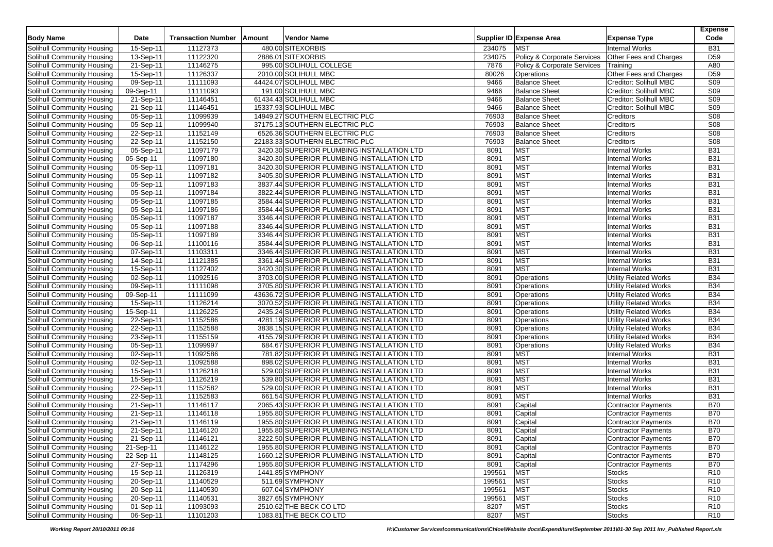|                                   |                         |                           |        |                                             |        |                             |                              | <b>Expense</b>  |
|-----------------------------------|-------------------------|---------------------------|--------|---------------------------------------------|--------|-----------------------------|------------------------------|-----------------|
| <b>Body Name</b>                  | Date                    | <b>Transaction Number</b> | Amount | <b>Vendor Name</b>                          |        | Supplier ID Expense Area    | <b>Expense Type</b>          | Code            |
| Solihull Community Housing        | 15-Sep-11               | 11127373                  |        | 480.00 SITEXORBIS                           | 234075 | <b>MST</b>                  | <b>Internal Works</b>        | <b>B31</b>      |
| Solihull Community Housing        | 13-Sep-11               | 11122320                  |        | 2886.01 SITEXORBIS                          | 234075 | Policy & Corporate Services | Other Fees and Charges       | D <sub>59</sub> |
| Solihull Community Housing        | $\overline{21}$ -Sep-11 | 11146275                  |        | 995.00 SOLIHULL COLLEGE                     | 7876   | Policy & Corporate Services | Training                     | A80             |
| Solihull Community Housing        | 15-Sep-11               | 11126337                  |        | 2010.00 SOLIHULL MBC                        | 80026  | Operations                  | Other Fees and Charges       | D <sub>59</sub> |
| Solihull Community Housing        | 09-Sep-11               | 11111093                  |        | 44424.07 SOLIHULL MBC                       | 9466   | <b>Balance Sheet</b>        | Creditor: Solihull MBC       | <b>S09</b>      |
| Solihull Community Housing        | 09-Sep-11               | 11111093                  |        | 191.00 SOLIHULL MBC                         | 9466   | <b>Balance Sheet</b>        | Creditor: Solihull MBC       | S <sub>09</sub> |
| Solihull Community Housing        | 21-Sep-11               | 11146451                  |        | 61434.43 SOLIHULL MBC                       | 9466   | <b>Balance Sheet</b>        | Creditor: Solihull MBC       | <b>S09</b>      |
| Solihull Community Housing        | 21-Sep-11               | 11146451                  |        | 15337.93 SOLIHULL MBC                       | 9466   | <b>Balance Sheet</b>        | Creditor: Solihull MBC       | S <sub>09</sub> |
| Solihull Community Housing        | 05-Sep-11               | 11099939                  |        | 14949.27 SOUTHERN ELECTRIC PLC              | 76903  | <b>Balance Sheet</b>        | Creditors                    | S <sub>08</sub> |
| Solihull Community Housing        | 05-Sep-11               | 11099940                  |        | 37175.13 SOUTHERN ELECTRIC PLC              | 76903  | <b>Balance Sheet</b>        | Creditors                    | <b>S08</b>      |
| <b>Solihull Community Housing</b> | 22-Sep-11               | 11152149                  |        | 6526.36 SOUTHERN ELECTRIC PLC               | 76903  | <b>Balance Sheet</b>        | Creditors                    | S <sub>08</sub> |
| Solihull Community Housing        | 22-Sep-11               | 11152150                  |        | 22183.33 SOUTHERN ELECTRIC PLC              | 76903  | <b>Balance Sheet</b>        | Creditors                    | S <sub>08</sub> |
| Solihull Community Housing        | 05-Sep-11               | 11097179                  |        | 3420.30 SUPERIOR PLUMBING INSTALLATION LTD  | 8091   | <b>MST</b>                  | <b>Internal Works</b>        | <b>B31</b>      |
| Solihull Community Housing        | 05-Sep-11               | 11097180                  |        | 3420.30 SUPERIOR PLUMBING INSTALLATION LTD  | 8091   | <b>MST</b>                  | <b>Internal Works</b>        | <b>B31</b>      |
| Solihull Community Housing        | 05-Sep-11               | 11097181                  |        | 3420.30 SUPERIOR PLUMBING INSTALLATION LTD  | 8091   | <b>MST</b>                  | <b>Internal Works</b>        | <b>B31</b>      |
| Solihull Community Housing        | 05-Sep-11               | 11097182                  |        | 3405.30 SUPERIOR PLUMBING INSTALLATION LTD  | 8091   | <b>MST</b>                  | <b>Internal Works</b>        | <b>B31</b>      |
| Solihull Community Housing        | $05-Sep-11$             | 11097183                  |        | 3837.44 SUPERIOR PLUMBING INSTALLATION LTD  | 8091   | <b>MST</b>                  | <b>Internal Works</b>        | <b>B31</b>      |
| Solihull Community Housing        | 05-Sep-11               | 11097184                  |        | 3822.44 SUPERIOR PLUMBING INSTALLATION LTD  | 8091   | <b>MST</b>                  | <b>Internal Works</b>        | <b>B31</b>      |
| Solihull Community Housing        | 05-Sep-11               | 11097185                  |        | 3584.44 SUPERIOR PLUMBING INSTALLATION LTD  | 8091   | <b>MST</b>                  | <b>Internal Works</b>        | <b>B31</b>      |
| Solihull Community Housing        | 05-Sep-11               | 11097186                  |        | 3584.44 SUPERIOR PLUMBING INSTALLATION LTD  | 8091   | <b>MST</b>                  | <b>Internal Works</b>        | <b>B31</b>      |
| Solihull Community Housing        | $\overline{05}$ -Sep-11 | 11097187                  |        | 3346.44 SUPERIOR PLUMBING INSTALLATION LTD  | 8091   | <b>MST</b>                  | <b>Internal Works</b>        | <b>B31</b>      |
| Solihull Community Housing        | 05-Sep-11               | 11097188                  |        | 3346.44 SUPERIOR PLUMBING INSTALLATION LTD  | 8091   | <b>MST</b>                  | <b>Internal Works</b>        | <b>B31</b>      |
| Solihull Community Housing        | 05-Sep-11               | 11097189                  |        | 3346.44 SUPERIOR PLUMBING INSTALLATION LTD  | 8091   | <b>MST</b>                  | <b>Internal Works</b>        | <b>B31</b>      |
| Solihull Community Housing        | 06-Sep-11               | 11100116                  |        | 3584.44 SUPERIOR PLUMBING INSTALLATION LTD  | 8091   | <b>MST</b>                  | <b>Internal Works</b>        | <b>B31</b>      |
| Solihull Community Housing        | 07-Sep-11               | 11103311                  |        | 3346.44 SUPERIOR PLUMBING INSTALLATION LTD  | 8091   | <b>MST</b>                  | <b>Internal Works</b>        | <b>B31</b>      |
| Solihull Community Housing        | 14-Sep-11               | 11121385                  |        | 3361.44 SUPERIOR PLUMBING INSTALLATION LTD  | 8091   | <b>MST</b>                  | <b>Internal Works</b>        | <b>B31</b>      |
| Solihull Community Housing        | 15-Sep-11               | 11127402                  |        | 3420.30 SUPERIOR PLUMBING INSTALLATION LTD  | 8091   | <b>MST</b>                  | <b>Internal Works</b>        | <b>B31</b>      |
| Solihull Community Housing        | 02-Sep-11               | 11092516                  |        | 3703.00 SUPERIOR PLUMBING INSTALLATION LTD  | 8091   | Operations                  | <b>Utility Related Works</b> | <b>B34</b>      |
| Solihull Community Housing        | 09-Sep-11               | 11111098                  |        | 3705.80 SUPERIOR PLUMBING INSTALLATION LTD  | 8091   | Operations                  | <b>Utility Related Works</b> | <b>B34</b>      |
| Solihull Community Housing        | 09-Sep-11               | 11111099                  |        | 43636.72 SUPERIOR PLUMBING INSTALLATION LTD | 8091   | Operations                  | <b>Utility Related Works</b> | <b>B34</b>      |
| Solihull Community Housing        | 15-Sep-11               | 11126214                  |        | 3070.52 SUPERIOR PLUMBING INSTALLATION LTD  | 8091   | Operations                  | <b>Utility Related Works</b> | <b>B34</b>      |
| Solihull Community Housing        | 15-Sep-11               | 11126225                  |        | 2435.24 SUPERIOR PLUMBING INSTALLATION LTD  | 8091   | Operations                  | <b>Utility Related Works</b> | <b>B34</b>      |
| Solihull Community Housing        | 22-Sep-11               | 11152586                  |        | 4281.19 SUPERIOR PLUMBING INSTALLATION LTD  | 8091   | Operations                  | <b>Utility Related Works</b> | <b>B34</b>      |
| <b>Solihull Community Housing</b> | $22-Sep-11$             | 11152588                  |        | 3838.15 SUPERIOR PLUMBING INSTALLATION LTD  | 8091   | Operations                  | <b>Utility Related Works</b> | <b>B34</b>      |
| Solihull Community Housing        | 23-Sep-11               | 11155159                  |        | 4155.79 SUPERIOR PLUMBING INSTALLATION LTD  | 8091   | Operations                  | <b>Utility Related Works</b> | <b>B34</b>      |
| Solihull Community Housing        | 05-Sep-11               | 11099997                  |        | 684.67 SUPERIOR PLUMBING INSTALLATION LTD   | 8091   | Operations                  | Utility Related Works        | <b>B34</b>      |
| Solihull Community Housing        | 02-Sep-11               | 11092586                  |        | 781.82 SUPERIOR PLUMBING INSTALLATION LTD   | 8091   | <b>MST</b>                  | <b>Internal Works</b>        | <b>B31</b>      |
| Solihull Community Housing        | 02-Sep-11               | 11092588                  |        | 898.02 SUPERIOR PLUMBING INSTALLATION LTD   | 8091   | <b>MST</b>                  | <b>Internal Works</b>        | <b>B31</b>      |
| Solihull Community Housing        | 15-Sep-11               | 11126218                  |        | 529.00 SUPERIOR PLUMBING INSTALLATION LTD   | 8091   | <b>MST</b>                  | <b>Internal Works</b>        | <b>B31</b>      |
| Solihull Community Housing        | 15-Sep-11               | 11126219                  |        | 539.80 SUPERIOR PLUMBING INSTALLATION LTD   | 8091   | <b>MST</b>                  | <b>Internal Works</b>        | <b>B31</b>      |
| Solihull Community Housing        | 22-Sep-11               | 11152582                  |        | 529.00 SUPERIOR PLUMBING INSTALLATION LTD   | 8091   | <b>MST</b>                  | <b>Internal Works</b>        | <b>B31</b>      |
| Solihull Community Housing        | 22-Sep-11               | 11152583                  |        | 661.54 SUPERIOR PLUMBING INSTALLATION LTD   | 8091   | <b>MST</b>                  | <b>Internal Works</b>        | <b>B31</b>      |
| Solihull Community Housing        | 21-Sep-11               | 11146117                  |        | 2065.43 SUPERIOR PLUMBING INSTALLATION LTD  | 8091   | Capital                     | <b>Contractor Payments</b>   | <b>B70</b>      |
| Solihull Community Housing        | 21-Sep-11               | 11146118                  |        | 1955.80 SUPERIOR PLUMBING INSTALLATION LTD  | 8091   | Capital                     | Contractor Payments          | <b>B70</b>      |
| Solihull Community Housing        | 21-Sep-11               | 11146119                  |        | 1955.80 SUPERIOR PLUMBING INSTALLATION LTD  | 8091   | Capital                     | <b>Contractor Payments</b>   | <b>B70</b>      |
| Solihull Community Housing        | 21-Sep-11               | 11146120                  |        | 1955.80 SUPERIOR PLUMBING INSTALLATION LTD  | 8091   | Capital                     | <b>Contractor Payments</b>   | <b>B70</b>      |
| Solihull Community Housing        | $21-Sep-11$             | 11146121                  |        | 3222.50 SUPERIOR PLUMBING INSTALLATION LTD  | 8091   | Capital                     | Contractor Payments          | <b>B70</b>      |
| Solihull Community Housing        | 21-Sep-11               | 11146122                  |        | 1955.80 SUPERIOR PLUMBING INSTALLATION LTD  | 8091   | Capital                     | <b>Contractor Payments</b>   | <b>B70</b>      |
| Solihull Community Housing        | 22-Sep-11               | 11148125                  |        | 1660.12 SUPERIOR PLUMBING INSTALLATION LTD  | 8091   | Capital                     | <b>Contractor Payments</b>   | <b>B70</b>      |
| Solihull Community Housing        | 27-Sep-11               | 11174296                  |        | 1955.80 SUPERIOR PLUMBING INSTALLATION LTD  | 8091   | Capital                     | Contractor Payments          | <b>B70</b>      |
| Solihull Community Housing        | $15-Sep-11$             | 11126319                  |        | 1441.85 SYMPHONY                            | 199561 | <b>MST</b>                  | <b>Stocks</b>                | R <sub>10</sub> |
| Solihull Community Housing        | 20-Sep-11               | 11140529                  |        | 511.69 SYMPHONY                             | 199561 | <b>MST</b>                  | <b>Stocks</b>                | R <sub>10</sub> |
| Solihull Community Housing        | 20-Sep-11               | 11140530                  |        | 607.04 SYMPHONY                             | 199561 | <b>MST</b>                  | <b>Stocks</b>                | R <sub>10</sub> |
| Solihull Community Housing        | 20-Sep-11               | 11140531                  |        | 3827.65 SYMPHONY                            | 199561 | <b>MST</b>                  | <b>Stocks</b>                | R <sub>10</sub> |
| Solihull Community Housing        | 01-Sep-11               | 11093093                  |        | 2510.62 THE BECK CO LTD                     | 8207   | <b>MST</b>                  | <b>Stocks</b>                | R <sub>10</sub> |
| Solihull Community Housing        | 06-Sep-11               | 11101203                  |        | 1083.81 THE BECK CO LTD                     | 8207   | <b>MST</b>                  | Stocks                       | R <sub>10</sub> |